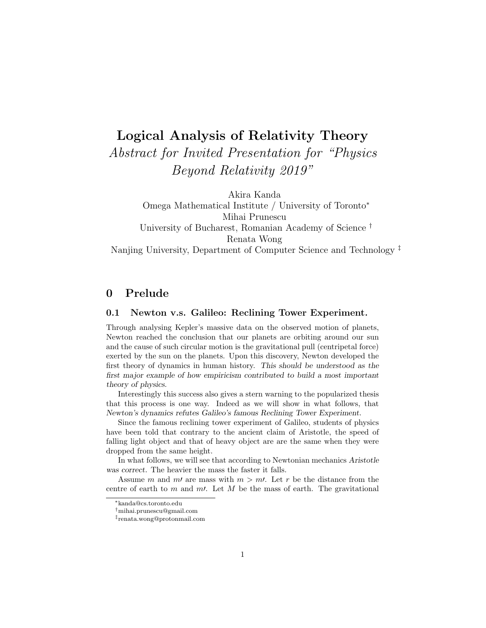# Logical Analysis of Relativity Theory

Abstract for Invited Presentation for "Physics Beyond Relativity 2019"

Akira Kanda

Omega Mathematical Institute / University of Toronto<sup>∗</sup> Mihai Prunescu University of Bucharest, Romanian Academy of Science † Renata Wong Nanjing University, Department of Computer Science and Technology ‡

## 0 Prelude

## 0.1 Newton v.s. Galileo: Reclining Tower Experiment.

Through analysing Kepler's massive data on the observed motion of planets, Newton reached the conclusion that our planets are orbiting around our sun and the cause of such circular motion is the gravitational pull (centripetal force) exerted by the sun on the planets. Upon this discovery, Newton developed the first theory of dynamics in human history. This should be understood as the first major example of how empiricism contributed to build a most important theory of physics.

Interestingly this success also gives a stern warning to the popularized thesis that this process is one way. Indeed as we will show in what follows, that Newton's dynamics refutes Galileo's famous Reclining Tower Experiment.

Since the famous reclining tower experiment of Galileo, students of physics have been told that contrary to the ancient claim of Aristotle, the speed of falling light object and that of heavy object are are the same when they were dropped from the same height.

In what follows, we will see that according to Newtonian mechanics Aristotle was correct. The heavier the mass the faster it falls.

Assume m and m' are mass with  $m > m$ . Let r be the distance from the centre of earth to m and m. Let M be the mass of earth. The gravitational

<sup>∗</sup>kanda@cs.toronto.edu

<sup>†</sup>mihai.prunescu@gmail.com

<sup>‡</sup> renata.wong@protonmail.com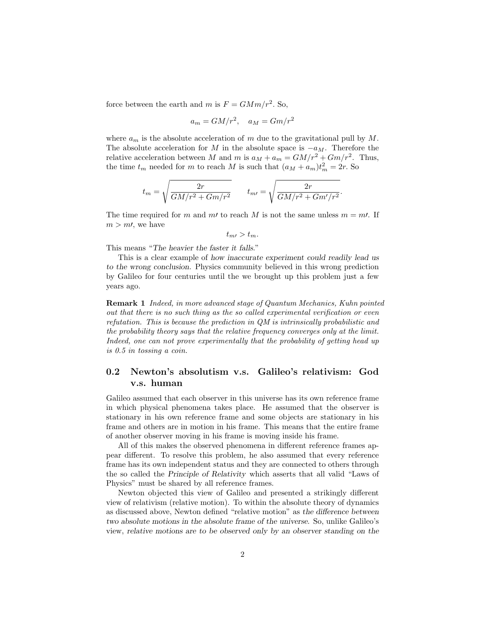force between the earth and m is  $F = GMm/r^2$ . So,

$$
a_m = GM/r^2, \quad a_M = Gm/r^2
$$

where  $a_m$  is the absolute acceleration of m due to the gravitational pull by M. The absolute acceleration for M in the absolute space is  $-a_M$ . Therefore the relative acceleration between M and m is  $a_M + a_m = GM/r^2 + Gm/r^2$ . Thus, the time  $t_m$  needed for m to reach M is such that  $(a_M + a_m)t_m^2 = 2r$ . So

$$
t_m = \sqrt{\frac{2r}{GM/r^2 + Gm/r^2}} \qquad t_{m\prime} = \sqrt{\frac{2r}{GM/r^2 + Gm'/r^2}}.
$$

The time required for m and m' to reach M is not the same unless  $m = m$ . If  $m > m$ , we have

$$
t_{m\prime} > t_m.
$$

This means "The heavier the faster it falls."

This is a clear example of how inaccurate experiment could readily lead us to the wrong conclusion. Physics community believed in this wrong prediction by Galileo for four centuries until the we brought up this problem just a few years ago.

Remark 1 Indeed, in more advanced stage of Quantum Mechanics, Kuhn pointed out that there is no such thing as the so called experimental verification or even refutation. This is because the prediction in QM is intrinsically probabilistic and the probability theory says that the relative frequency converges only at the limit. Indeed, one can not prove experimentally that the probability of getting head up is 0.5 in tossing a coin.

## 0.2 Newton's absolutism v.s. Galileo's relativism: God v.s. human

Galileo assumed that each observer in this universe has its own reference frame in which physical phenomena takes place. He assumed that the observer is stationary in his own reference frame and some objects are stationary in his frame and others are in motion in his frame. This means that the entire frame of another observer moving in his frame is moving inside his frame.

All of this makes the observed phenomena in different reference frames appear different. To resolve this problem, he also assumed that every reference frame has its own independent status and they are connected to others through the so called the Principle of Relativity which asserts that all valid "Laws of Physics" must be shared by all reference frames.

Newton objected this view of Galileo and presented a strikingly different view of relativism (relative motion). To within the absolute theory of dynamics as discussed above, Newton defined "relative motion" as the difference between two absolute motions in the absolute frame of the universe. So, unlike Galileo's view, relative motions are to be observed only by an observer standing on the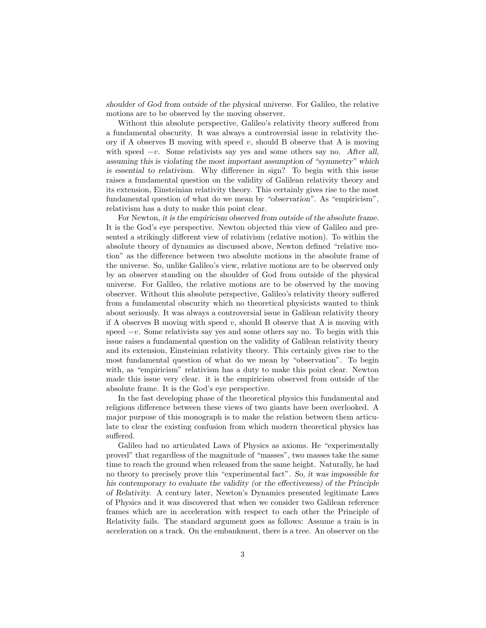shoulder of God from outside of the physical universe. For Galileo, the relative motions are to be observed by the moving observer.

Without this absolute perspective, Galileo's relativity theory suffered from a fundamental obscurity. It was always a controversial issue in relativity theory if A observes B moving with speed v, should B observe that A is moving with speed  $-v$ . Some relativists say yes and some others say no. After all, assuming this is violating the most important assumption of "symmetry" which is essential to relativism. Why difference in sign? To begin with this issue raises a fundamental question on the validity of Galilean relativity theory and its extension, Einsteinian relativity theory. This certainly gives rise to the most fundamental question of what do we mean by "observation". As "empiricism", relativism has a duty to make this point clear.

For Newton, it is the empiricism observed from outside of the absolute frame. It is the God's eye perspective. Newton objected this view of Galileo and presented a strikingly different view of relativism (relative motion). To within the absolute theory of dynamics as discussed above, Newton defined "relative motion" as the difference between two absolute motions in the absolute frame of the universe. So, unlike Galileo's view, relative motions are to be observed only by an observer standing on the shoulder of God from outside of the physical universe. For Galileo, the relative motions are to be observed by the moving observer. Without this absolute perspective, Galileo's relativity theory suffered from a fundamental obscurity which no theoretical physicists wanted to think about seriously. It was always a controversial issue in Galilean relativity theory if A observes B moving with speed  $v$ , should B observe that A is moving with speed  $-v$ . Some relativists say yes and some others say no. To begin with this issue raises a fundamental question on the validity of Galilean relativity theory and its extension, Einsteinian relativity theory. This certainly gives rise to the most fundamental question of what do we mean by "observation". To begin with, as "empiricism" relativism has a duty to make this point clear. Newton made this issue very clear. it is the empiricism observed from outside of the absolute frame. It is the God's eye perspective.

In the fast developing phase of the theoretical physics this fundamental and religious difference between these views of two giants have been overlooked. A major purpose of this monograph is to make the relation between them articulate to clear the existing confusion from which modern theoretical physics has suffered.

Galileo had no articulated Laws of Physics as axioms. He "experimentally proved" that regardless of the magnitude of "masses", two masses take the same time to reach the ground when released from the same height. Naturally, he had no theory to precisely prove this "experimental fact". So, it was impossible for his contemporary to evaluate the validity (or the effectiveness) of the Principle of Relativity. A century later, Newton's Dynamics presented legitimate Laws of Physics and it was discovered that when we consider two Galilean reference frames which are in acceleration with respect to each other the Principle of Relativity fails. The standard argument goes as follows: Assume a train is in acceleration on a track. On the embankment, there is a tree. An observer on the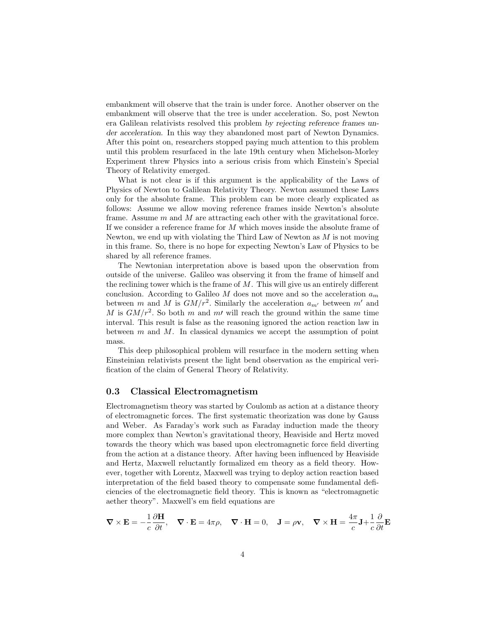embankment will observe that the train is under force. Another observer on the embankment will observe that the tree is under acceleration. So, post Newton era Galilean relativists resolved this problem by rejecting reference frames under acceleration. In this way they abandoned most part of Newton Dynamics. After this point on, researchers stopped paying much attention to this problem until this problem resurfaced in the late 19th century when Michelson-Morley Experiment threw Physics into a serious crisis from which Einstein's Special Theory of Relativity emerged.

What is not clear is if this argument is the applicability of the Laws of Physics of Newton to Galilean Relativity Theory. Newton assumed these Laws only for the absolute frame. This problem can be more clearly explicated as follows: Assume we allow moving reference frames inside Newton's absolute frame. Assume  $m$  and  $M$  are attracting each other with the gravitational force. If we consider a reference frame for M which moves inside the absolute frame of Newton, we end up with violating the Third Law of Newton as  $M$  is not moving in this frame. So, there is no hope for expecting Newton's Law of Physics to be shared by all reference frames.

The Newtonian interpretation above is based upon the observation from outside of the universe. Galileo was observing it from the frame of himself and the reclining tower which is the frame of  $M$ . This will give us an entirely different conclusion. According to Galileo M does not move and so the acceleration  $a_m$ between m and M is  $GM/r^2$ . Similarly the acceleration  $a_{m'}$  between m' and M is  $GM/r^2$ . So both m and m' will reach the ground within the same time interval. This result is false as the reasoning ignored the action reaction law in between  $m$  and  $M$ . In classical dynamics we accept the assumption of point mass.

This deep philosophical problem will resurface in the modern setting when Einsteinian relativists present the light bend observation as the empirical verification of the claim of General Theory of Relativity.

### 0.3 Classical Electromagnetism

Electromagnetism theory was started by Coulomb as action at a distance theory of electromagnetic forces. The first systematic theorization was done by Gauss and Weber. As Faraday's work such as Faraday induction made the theory more complex than Newton's gravitational theory, Heaviside and Hertz moved towards the theory which was based upon electromagnetic force field diverting from the action at a distance theory. After having been influenced by Heaviside and Hertz, Maxwell reluctantly formalized em theory as a field theory. However, together with Lorentz, Maxwell was trying to deploy action reaction based interpretation of the field based theory to compensate some fundamental deficiencies of the electromagnetic field theory. This is known as "electromagnetic aether theory". Maxwell's em field equations are

$$
\nabla \times \mathbf{E} = -\frac{1}{c} \frac{\partial \mathbf{H}}{\partial t}, \quad \nabla \cdot \mathbf{E} = 4\pi \rho, \quad \nabla \cdot \mathbf{H} = 0, \quad \mathbf{J} = \rho \mathbf{v}, \quad \nabla \times \mathbf{H} = \frac{4\pi}{c} \mathbf{J} + \frac{1}{c} \frac{\partial}{\partial t} \mathbf{E}
$$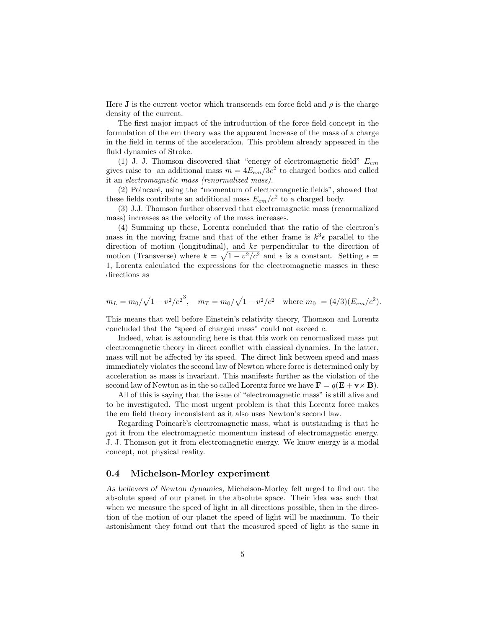Here **J** is the current vector which transcends em force field and  $\rho$  is the charge density of the current.

The first major impact of the introduction of the force field concept in the formulation of the em theory was the apparent increase of the mass of a charge in the field in terms of the acceleration. This problem already appeared in the fluid dynamics of Stroke.

(1) J. J. Thomson discovered that "energy of electromagnetic field"  $E_{em}$ gives raise to an additional mass  $m = 4E_{em}/3c^2$  to charged bodies and called it an electromagnetic mass (renormalized mass).

 $(2)$  Poincaré, using the "momentum of electromagnetic fields", showed that these fields contribute an additional mass  $E_{em}/c^2$  to a charged body.

(3) J.J. Thomson further observed that electromagnetic mass (renormalized mass) increases as the velocity of the mass increases.

(4) Summing up these, Lorentz concluded that the ratio of the electron's mass in the moving frame and that of the ether frame is  $k^3 \epsilon$  parallel to the direction of motion (longitudinal), and  $k\varepsilon$  perpendicular to the direction of motion (Transverse) where  $k = \sqrt{1 - v^2/c^2}$  and  $\epsilon$  is a constant. Setting  $\epsilon =$ 1, Lorentz calculated the expressions for the electromagnetic masses in these directions as

$$
m_L = m_0 / \sqrt{1 - v^2/c^2}
$$
,  $m_T = m_0 / \sqrt{1 - v^2/c^2}$  where  $m_0 = (4/3)(E_{em}/c^2)$ .

This means that well before Einstein's relativity theory, Thomson and Lorentz concluded that the "speed of charged mass" could not exceed c.

Indeed, what is astounding here is that this work on renormalized mass put electromagnetic theory in direct conflict with classical dynamics. In the latter, mass will not be affected by its speed. The direct link between speed and mass immediately violates the second law of Newton where force is determined only by acceleration as mass is invariant. This manifests further as the violation of the second law of Newton as in the so called Lorentz force we have  $\mathbf{F} = q(\mathbf{E} + \mathbf{v} \times \mathbf{B})$ .

All of this is saying that the issue of "electromagnetic mass" is still alive and to be investigated. The most urgent problem is that this Lorentz force makes the em field theory inconsistent as it also uses Newton's second law.

Regarding Poincaré's electromagnetic mass, what is outstanding is that he got it from the electromagnetic momentum instead of electromagnetic energy. J. J. Thomson got it from electromagnetic energy. We know energy is a modal concept, not physical reality.

## 0.4 Michelson-Morley experiment

As believers of Newton dynamics, Michelson-Morley felt urged to find out the absolute speed of our planet in the absolute space. Their idea was such that when we measure the speed of light in all directions possible, then in the direction of the motion of our planet the speed of light will be maximum. To their astonishment they found out that the measured speed of light is the same in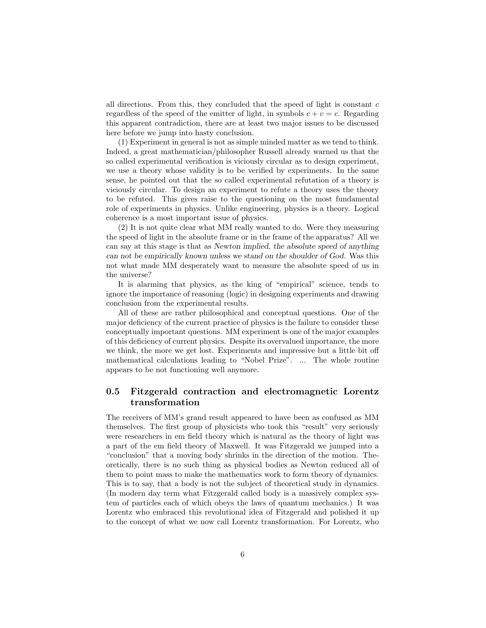all directions. From this, they concluded that the speed of light is constant  $c$ regardless of the speed of the emitter of light, in symbols  $c + v = c$ . Regarding this apparent contradiction, there are at least two major issues to be discussed here before we jump into hasty conclusion.

(1) Experiment in general is not as simple minded matter as we tend to think. Indeed, a great mathematician/philosopher Russell already warned us that the so called experimental verification is viciously circular as to design experiment, we use a theory whose validity is to be verified by experiments. In the same sense, he pointed out that the so called experimental refutation of a theory is viciously circular. To design an experiment to refute a theory uses the theory to be refuted. This gives raise to the questioning on the most fundamental role of experiments in physics. Unlike engineering, physics is a theory. Logical coherence is a most important issue of physics.

(2) It is not quite clear what MM really wanted to do. Were they measuring the speed of light in the absolute frame or in the frame of the apparatus? All we can say at this stage is that as Newton implied, the absolute speed of anything can not be empirically known unless we stand on the shoulder of God. Was this not what made MM desperately want to measure the absolute speed of us in the universe?

It is alarming that physics, as the king of "empirical" science, tends to ignore the importance of reasoning (logic) in designing experiments and drawing conclusion from the experimental results.

All of these are rather philosophical and conceptual questions. One of the major deficiency of the current practice of physics is the failure to consider these conceptually important questions. MM experiment is one of the major examples of this deficiency of current physics. Despite its overvalued importance, the more we think, the more we get lost. Experiments and impressive but a little bit off mathematical calculations leading to "Nobel Prize". ... The whole routine appears to be not functioning well anymore.

## 0.5 Fitzgerald contraction and electromagnetic Lorentz transformation

The receivers of MM's grand result appeared to have been as confused as MM themselves. The first group of physicists who took this "result" very seriously were researchers in em field theory which is natural as the theory of light was a part of the em field theory of Maxwell. It was Fitzgerald we jumped into a "conclusion" that a moving body shrinks in the direction of the motion. Theoretically, there is no such thing as physical bodies as Newton reduced all of them to point mass to make the mathematics work to form theory of dynamics. This is to say, that a body is not the subject of theoretical study in dynamics. (In modern day term what Fitzgerald called body is a massively complex system of particles each of which obeys the laws of quantum mechanics.) It was Lorentz who embraced this revolutional idea of Fitzgerald and polished it up to the concept of what we now call Lorentz transformation. For Lorentz, who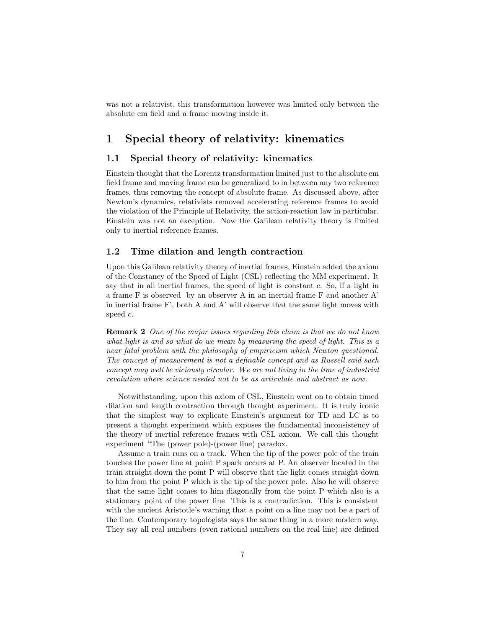was not a relativist, this transformation however was limited only between the absolute em field and a frame moving inside it.

## 1 Special theory of relativity: kinematics

## 1.1 Special theory of relativity: kinematics

Einstein thought that the Lorentz transformation limited just to the absolute em field frame and moving frame can be generalized to in between any two reference frames, thus removing the concept of absolute frame. As discussed above, after Newton's dynamics, relativists removed accelerating reference frames to avoid the violation of the Principle of Relativity, the action-reaction law in particular. Einstein was not an exception. Now the Galilean relativity theory is limited only to inertial reference frames.

## 1.2 Time dilation and length contraction

Upon this Galilean relativity theory of inertial frames, Einstein added the axiom of the Constancy of the Speed of Light (CSL) reflecting the MM experiment. It say that in all inertial frames, the speed of light is constant c. So, if a light in a frame F is observed by an observer A in an inertial frame F and another A' in inertial frame F', both A and A' will observe that the same light moves with speed c.

**Remark 2** One of the major issues regarding this claim is that we do not know what light is and so what do we mean by measuring the speed of light. This is a near fatal problem with the philosophy of empiricism which Newton questioned. The concept of measurement is not a definable concept and as Russell said such concept may well be viciously circular. We are not living in the time of industrial revolution where science needed not to be as articulate and abstract as now.

Notwithstanding, upon this axiom of CSL, Einstein went on to obtain timed dilation and length contraction through thought experiment. It is truly ironic that the simplest way to explicate Einstein's argument for TD and LC is to present a thought experiment which exposes the fundamental inconsistency of the theory of inertial reference frames with CSL axiom. We call this thought experiment "The (power pole)-(power line) paradox.

Assume a train runs on a track. When the tip of the power pole of the train touches the power line at point P spark occurs at P. An observer located in the train straight down the point P will observe that the light comes straight down to him from the point P which is the tip of the power pole. Also he will observe that the same light comes to him diagonally from the point P which also is a stationary point of the power line This is a contradiction. This is consistent with the ancient Aristotle's warning that a point on a line may not be a part of the line. Contemporary topologists says the same thing in a more modern way. They say all real numbers (even rational numbers on the real line) are defined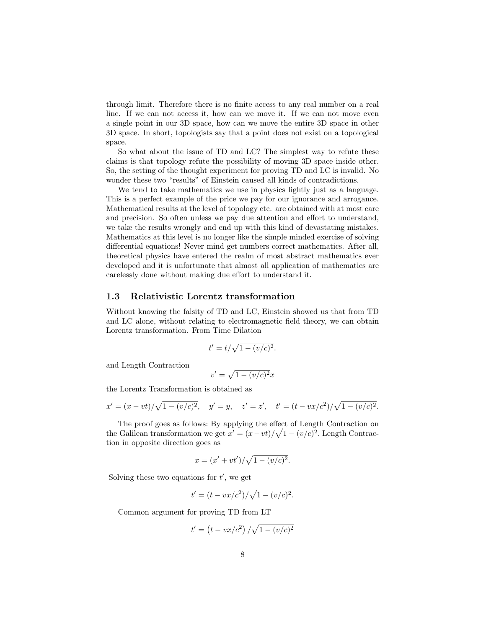through limit. Therefore there is no finite access to any real number on a real line. If we can not access it, how can we move it. If we can not move even a single point in our 3D space, how can we move the entire 3D space in other 3D space. In short, topologists say that a point does not exist on a topological space.

So what about the issue of TD and LC? The simplest way to refute these claims is that topology refute the possibility of moving 3D space inside other. So, the setting of the thought experiment for proving TD and LC is invalid. No wonder these two "results" of Einstein caused all kinds of contradictions.

We tend to take mathematics we use in physics lightly just as a language. This is a perfect example of the price we pay for our ignorance and arrogance. Mathematical results at the level of topology etc. are obtained with at most care and precision. So often unless we pay due attention and effort to understand, we take the results wrongly and end up with this kind of devastating mistakes. Mathematics at this level is no longer like the simple minded exercise of solving differential equations! Never mind get numbers correct mathematics. After all, theoretical physics have entered the realm of most abstract mathematics ever developed and it is unfortunate that almost all application of mathematics are carelessly done without making due effort to understand it.

## 1.3 Relativistic Lorentz transformation

Without knowing the falsity of TD and LC, Einstein showed us that from TD and LC alone, without relating to electromagnetic field theory, we can obtain Lorentz transformation. From Time Dilation

$$
t' = t/\sqrt{1 - (v/c)^2}.
$$

and Length Contraction

$$
v' = \sqrt{1 - (v/c)^2}x
$$

the Lorentz Transformation is obtained as

$$
x' = (x - vt)/\sqrt{1 - (v/c)^2}
$$
,  $y' = y$ ,  $z' = z'$ ,  $t' = (t - vx/c^2)/\sqrt{1 - (v/c)^2}$ .

The proof goes as follows: By applying the effect of Length Contraction on the Galilean transformation we get  $x' = (x - vt)/\sqrt{1 - (v/c)^2}$ . Length Contraction in opposite direction goes as

$$
x = (x' + vt') / \sqrt{1 - (v/c)^2}.
$$

Solving these two equations for  $t'$ , we get

$$
t' = (t - vx/c^2) / \sqrt{1 - (v/c)^2}.
$$

Common argument for proving TD from LT

$$
t' = \left(t - \frac{vx}{c^2}\right) / \sqrt{1 - \left(\frac{v}{c}\right)^2}
$$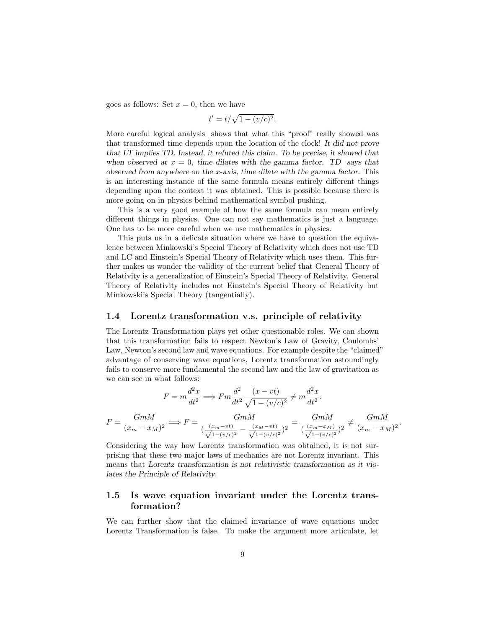goes as follows: Set  $x = 0$ , then we have

$$
t' = t/\sqrt{1 - (v/c)^2}.
$$

More careful logical analysis shows that what this "proof" really showed was that transformed time depends upon the location of the clock! It did not prove that LT implies TD. Instead, it refuted this claim. To be precise, it showed that when observed at  $x = 0$ , time dilates with the gamma factor. TD says that observed from anywhere on the x-axis, time dilate with the gamma factor. This is an interesting instance of the same formula means entirely different things depending upon the context it was obtained. This is possible because there is more going on in physics behind mathematical symbol pushing.

This is a very good example of how the same formula can mean entirely different things in physics. One can not say mathematics is just a language. One has to be more careful when we use mathematics in physics.

This puts us in a delicate situation where we have to question the equivalence between Minkowski's Special Theory of Relativity which does not use TD and LC and Einstein's Special Theory of Relativity which uses them. This further makes us wonder the validity of the current belief that General Theory of Relativity is a generalization of Einstein's Special Theory of Relativity. General Theory of Relativity includes not Einstein's Special Theory of Relativity but Minkowski's Special Theory (tangentially).

#### 1.4 Lorentz transformation v.s. principle of relativity

The Lorentz Transformation plays yet other questionable roles. We can shown that this transformation fails to respect Newton's Law of Gravity, Coulombs' Law, Newton's second law and wave equations. For example despite the "claimed" advantage of conserving wave equations, Lorentz transformation astoundingly fails to conserve more fundamental the second law and the law of gravitation as we can see in what follows:

$$
F = m \frac{d^2 x}{dt^2} \Longrightarrow Fm \frac{d^2}{dt^2} \frac{(x - vt)}{\sqrt{1 - (v/c)^2}} \neq m \frac{d^2 x}{dt^2}.
$$

$$
F = \frac{GmM}{(x_m - x_M)^2} \Longrightarrow F = \frac{GmM}{(\frac{(x_m - vt)}{\sqrt{1 - (v/c)^2}} - \frac{(x_M - vt)}{\sqrt{1 - (v/c)^2}})^2} = \frac{GmM}{(\frac{(x_m - x_M)}{\sqrt{1 - (v/c)^2}})^2} \neq \frac{GmM}{(x_m - x_M)^2}
$$

.

Considering the way how Lorentz transformation was obtained, it is not surprising that these two major laws of mechanics are not Lorentz invariant. This means that Lorentz transformation is not relativistic transformation as it violates the Principle of Relativity.

## 1.5 Is wave equation invariant under the Lorentz transformation?

We can further show that the claimed invariance of wave equations under Lorentz Transformation is false. To make the argument more articulate, let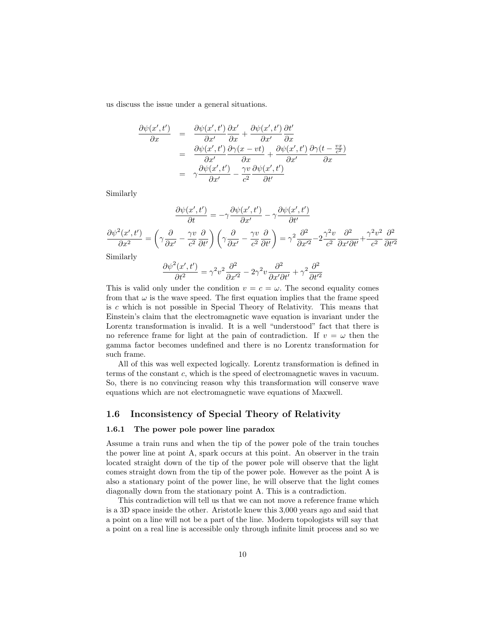us discuss the issue under a general situations.

$$
\frac{\partial \psi(x',t')}{\partial x} = \frac{\partial \psi(x',t')}{\partial x} \frac{\partial x'}{\partial x} + \frac{\partial \psi(x',t')}{\partial x} \frac{\partial t'}{\partial x}
$$
\n
$$
= \frac{\partial \psi(x',t')}{\partial x'} \frac{\partial \gamma(x-vt)}{\partial x} + \frac{\partial \psi(x',t')}{\partial x'} \frac{\partial \gamma(t-\frac{vx}{c^2})}{\partial x}
$$
\n
$$
= \gamma \frac{\partial \psi(x',t')}{\partial x'} - \frac{\gamma v}{c^2} \frac{\partial \psi(x',t')}{\partial t'}
$$

Similarly

$$
\frac{\partial \psi(x',t')}{\partial t} = -\gamma \frac{\partial \psi(x',t')}{\partial x'} - \gamma \frac{\partial \psi(x',t')}{\partial t'}
$$

$$
\frac{\partial \psi^2(x',t')}{\partial x^2} = \left(\gamma \frac{\partial}{\partial x'} - \frac{\gamma v}{c^2} \frac{\partial}{\partial t'}\right) \left(\gamma \frac{\partial}{\partial x'} - \frac{\gamma v}{c^2} \frac{\partial}{\partial t'}\right) = \gamma^2 \frac{\partial^2}{\partial x'^2} - 2\frac{\gamma^2 v}{c^2} \frac{\partial^2}{\partial x' \partial t'} + \frac{\gamma^2 v^2}{c^2} \frac{\partial^2}{\partial t'^2}
$$

Similarly

$$
\frac{\partial \psi^2(x',t')}{\partial t^2} = \gamma^2 v^2 \frac{\partial^2}{\partial x'^2} - 2\gamma^2 v \frac{\partial^2}{\partial x' \partial t'} + \gamma^2 \frac{\partial^2}{\partial t'^2}
$$

This is valid only under the condition  $v = c = \omega$ . The second equality comes from that  $\omega$  is the wave speed. The first equation implies that the frame speed is c which is not possible in Special Theory of Relativity. This means that Einstein's claim that the electromagnetic wave equation is invariant under the Lorentz transformation is invalid. It is a well "understood" fact that there is no reference frame for light at the pain of contradiction. If  $v = \omega$  then the gamma factor becomes undefined and there is no Lorentz transformation for such frame.

All of this was well expected logically. Lorentz transformation is defined in terms of the constant c, which is the speed of electromagnetic waves in vacuum. So, there is no convincing reason why this transformation will conserve wave equations which are not electromagnetic wave equations of Maxwell.

## 1.6 Inconsistency of Special Theory of Relativity

#### 1.6.1 The power pole power line paradox

Assume a train runs and when the tip of the power pole of the train touches the power line at point A, spark occurs at this point. An observer in the train located straight down of the tip of the power pole will observe that the light comes straight down from the tip of the power pole. However as the point A is also a stationary point of the power line, he will observe that the light comes diagonally down from the stationary point A. This is a contradiction.

This contradiction will tell us that we can not move a reference frame which is a 3D space inside the other. Aristotle knew this 3,000 years ago and said that a point on a line will not be a part of the line. Modern topologists will say that a point on a real line is accessible only through infinite limit process and so we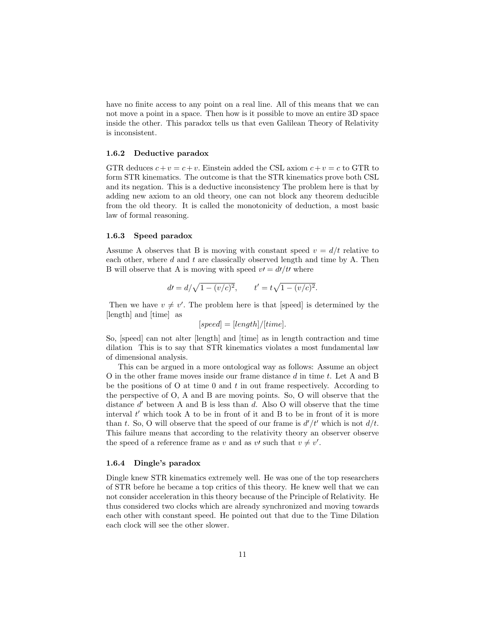have no finite access to any point on a real line. All of this means that we can not move a point in a space. Then how is it possible to move an entire 3D space inside the other. This paradox tells us that even Galilean Theory of Relativity is inconsistent.

#### 1.6.2 Deductive paradox

GTR deduces  $c+v = c+v$ . Einstein added the CSL axiom  $c+v = c$  to GTR to form STR kinematics. The outcome is that the STR kinematics prove both CSL and its negation. This is a deductive inconsistency The problem here is that by adding new axiom to an old theory, one can not block any theorem deducible from the old theory. It is called the monotonicity of deduction, a most basic law of formal reasoning.

#### 1.6.3 Speed paradox

Assume A observes that B is moving with constant speed  $v = d/t$  relative to each other, where  $d$  and  $t$  are classically observed length and time by A. Then B will observe that A is moving with speed  $v = d/t'$  where

$$
dt = d/\sqrt{1 - (v/c)^2}, \qquad t' = t\sqrt{1 - (v/c)^2}.
$$

Then we have  $v \neq v'$ . The problem here is that [speed] is determined by the [length] and [time] as

$$
[speed] = [length]/[time].
$$

So, [speed] can not alter [length] and [time] as in length contraction and time dilation This is to say that STR kinematics violates a most fundamental law of dimensional analysis.

This can be argued in a more ontological way as follows: Assume an object O in the other frame moves inside our frame distance d in time t. Let A and B be the positions of  $O$  at time  $O$  and  $t$  in out frame respectively. According to the perspective of O, A and B are moving points. So, O will observe that the distance  $d'$  between A and B is less than  $d$ . Also O will observe that the time interval  $t'$  which took A to be in front of it and B to be in front of it is more than t. So, O will observe that the speed of our frame is  $d'/t'$  which is not  $d/t$ . This failure means that according to the relativity theory an observer observe the speed of a reference frame as v and as v' such that  $v \neq v'$ .

### 1.6.4 Dingle's paradox

Dingle knew STR kinematics extremely well. He was one of the top researchers of STR before he became a top critics of this theory. He knew well that we can not consider acceleration in this theory because of the Principle of Relativity. He thus considered two clocks which are already synchronized and moving towards each other with constant speed. He pointed out that due to the Time Dilation each clock will see the other slower.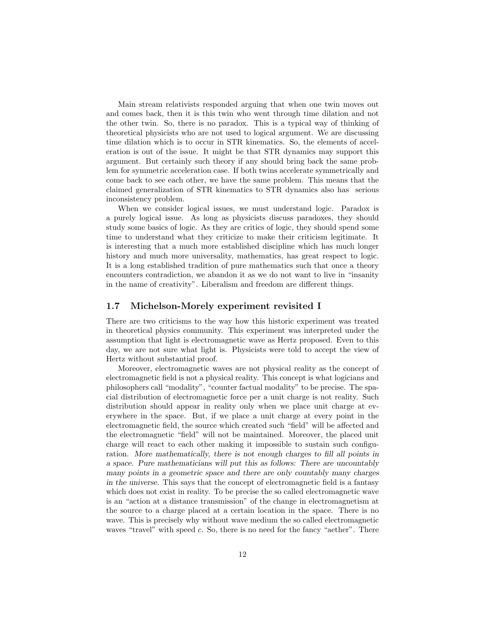Main stream relativists responded arguing that when one twin moves out and comes back, then it is this twin who went through time dilation and not the other twin. So, there is no paradox. This is a typical way of thinking of theoretical physicists who are not used to logical argument. We are discussing time dilation which is to occur in STR kinematics. So, the elements of acceleration is out of the issue. It might be that STR dynamics may support this argument. But certainly such theory if any should bring back the same problem for symmetric acceleration case. If both twins accelerate symmetrically and come back to see each other, we have the same problem. This means that the claimed generalization of STR kinematics to STR dynamics also has serious inconsistency problem.

When we consider logical issues, we must understand logic. Paradox is a purely logical issue. As long as physicists discuss paradoxes, they should study some basics of logic. As they are critics of logic, they should spend some time to understand what they criticize to make their criticism legitimate. It is interesting that a much more established discipline which has much longer history and much more universality, mathematics, has great respect to logic. It is a long established tradition of pure mathematics such that once a theory encounters contradiction, we abandon it as we do not want to live in "insanity in the name of creativity". Liberalism and freedom are different things.

### 1.7 Michelson-Morely experiment revisited I

There are two criticisms to the way how this historic experiment was treated in theoretical physics community. This experiment was interpreted under the assumption that light is electromagnetic wave as Hertz proposed. Even to this day, we are not sure what light is. Physicists were told to accept the view of Hertz without substantial proof.

Moreover, electromagnetic waves are not physical reality as the concept of electromagnetic field is not a physical reality. This concept is what logicians and philosophers call "modality", "counter factual modality" to be precise. The spacial distribution of electromagnetic force per a unit charge is not reality. Such distribution should appear in reality only when we place unit charge at everywhere in the space. But, if we place a unit charge at every point in the electromagnetic field, the source which created such "field" will be affected and the electromagnetic "field" will not be maintained. Moreover, the placed unit charge will react to each other making it impossible to sustain such configuration. More mathematically, there is not enough charges to fill all points in a space. Pure mathematicians will put this as follows: There are uncountably many points in a geometric space and there are only countably many charges in the universe. This says that the concept of electromagnetic field is a fantasy which does not exist in reality. To be precise the so called electromagnetic wave is an "action at a distance transmission" of the change in electromagnetism at the source to a charge placed at a certain location in the space. There is no wave. This is precisely why without wave medium the so called electromagnetic waves "travel" with speed c. So, there is no need for the fancy "aether". There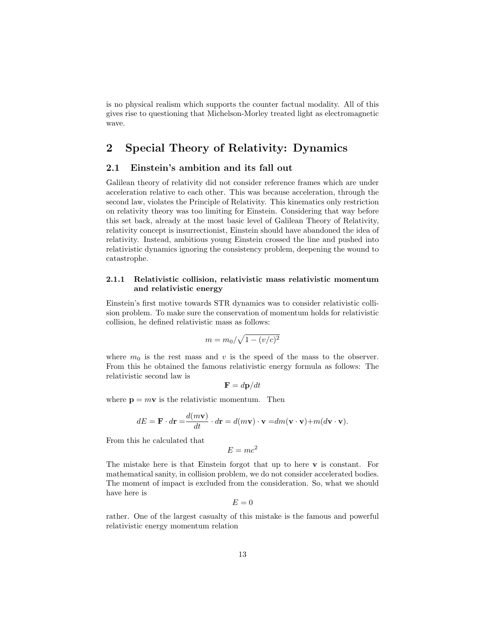is no physical realism which supports the counter factual modality. All of this gives rise to questioning that Michelson-Morley treated light as electromagnetic wave.

## 2 Special Theory of Relativity: Dynamics

## 2.1 Einstein's ambition and its fall out

Galilean theory of relativity did not consider reference frames which are under acceleration relative to each other. This was because acceleration, through the second law, violates the Principle of Relativity. This kinematics only restriction on relativity theory was too limiting for Einstein. Considering that way before this set back, already at the most basic level of Galilean Theory of Relativity, relativity concept is insurrectionist, Einstein should have abandoned the idea of relativity. Instead, ambitious young Einstein crossed the line and pushed into relativistic dynamics ignoring the consistency problem, deepening the wound to catastrophe.

## 2.1.1 Relativistic collision, relativistic mass relativistic momentum and relativistic energy

Einstein's first motive towards STR dynamics was to consider relativistic collision problem. To make sure the conservation of momentum holds for relativistic collision, he defined relativistic mass as follows:

$$
m = m_0 / \sqrt{1 - (v/c)^2}
$$

where  $m_0$  is the rest mass and v is the speed of the mass to the observer. From this he obtained the famous relativistic energy formula as follows: The relativistic second law is

$$
\mathbf{F} = d\mathbf{p}/dt
$$

where  $\mathbf{p} = m\mathbf{v}$  is the relativistic momentum. Then

$$
dE = \mathbf{F} \cdot d\mathbf{r} = \frac{d(m\mathbf{v})}{dt} \cdot d\mathbf{r} = d(m\mathbf{v}) \cdot \mathbf{v} = dm(\mathbf{v} \cdot \mathbf{v}) + m(d\mathbf{v} \cdot \mathbf{v}).
$$

From this he calculated that

$$
E = mc^2
$$

The mistake here is that Einstein forgot that up to here v is constant. For mathematical sanity, in collision problem, we do not consider accelerated bodies. The moment of impact is excluded from the consideration. So, what we should have here is

$$
E = 0
$$

rather. One of the largest casualty of this mistake is the famous and powerful relativistic energy momentum relation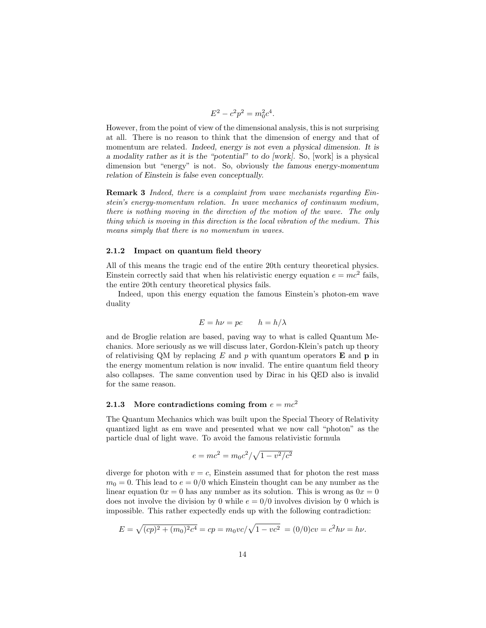$$
E^2 - c^2 p^2 = m_0^2 c^4.
$$

However, from the point of view of the dimensional analysis, this is not surprising at all. There is no reason to think that the dimension of energy and that of momentum are related. Indeed, energy is not even a physical dimension. It is a modality rather as it is the "potential" to do [work]. So, [work] is a physical dimension but "energy" is not. So, obviously the famous energy-momentum relation of Einstein is false even conceptually.

Remark 3 Indeed, there is a complaint from wave mechanists regarding Einstein's energy-momentum relation. In wave mechanics of continuum medium, there is nothing moving in the direction of the motion of the wave. The only thing which is moving in this direction is the local vibration of the medium. This means simply that there is no momentum in waves.

#### 2.1.2 Impact on quantum field theory

All of this means the tragic end of the entire 20th century theoretical physics. Einstein correctly said that when his relativistic energy equation  $e = mc^2$  fails, the entire 20th century theoretical physics fails.

Indeed, upon this energy equation the famous Einstein's photon-em wave duality

$$
E = h\nu = pc \t h = h/\lambda
$$

and de Broglie relation are based, paving way to what is called Quantum Mechanics. More seriously as we will discuss later, Gordon-Klein's patch up theory of relativising QM by replacing E and p with quantum operators  $\bf{E}$  and  $\bf{p}$  in the energy momentum relation is now invalid. The entire quantum field theory also collapses. The same convention used by Dirac in his QED also is invalid for the same reason.

### 2.1.3 More contradictions coming from  $e = mc^2$

The Quantum Mechanics which was built upon the Special Theory of Relativity quantized light as em wave and presented what we now call "photon" as the particle dual of light wave. To avoid the famous relativistic formula

$$
e = mc^2 = m_0 c^2 / \sqrt{1 - v^2/c^2}
$$

diverge for photon with  $v = c$ , Einstein assumed that for photon the rest mass  $m_0 = 0$ . This lead to  $e = 0/0$  which Einstein thought can be any number as the linear equation  $0x = 0$  has any number as its solution. This is wrong as  $0x = 0$ does not involve the division by 0 while  $e = 0/0$  involves division by 0 which is impossible. This rather expectedly ends up with the following contradiction:

$$
E = \sqrt{(cp)^2 + (m_0)^2 c^4} = cp = m_0 v c / \sqrt{1 - v c^2} = (0/0) cv = c^2 h \nu = h \nu.
$$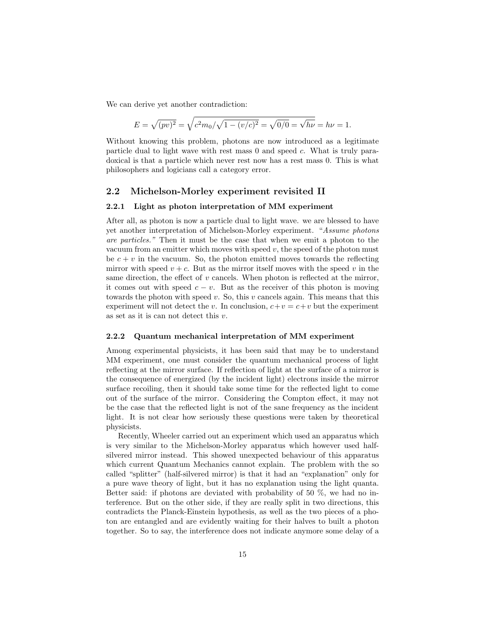We can derive yet another contradiction:

$$
E = \sqrt{(pv)^2} = \sqrt{c^2 m_0/\sqrt{1 - (v/c)^2}} = \sqrt{0/0} = \sqrt{h\nu} = h\nu = 1.
$$

Without knowing this problem, photons are now introduced as a legitimate particle dual to light wave with rest mass 0 and speed c. What is truly paradoxical is that a particle which never rest now has a rest mass 0. This is what philosophers and logicians call a category error.

## 2.2 Michelson-Morley experiment revisited II

#### 2.2.1 Light as photon interpretation of MM experiment

After all, as photon is now a particle dual to light wave. we are blessed to have yet another interpretation of Michelson-Morley experiment. "Assume photons are particles." Then it must be the case that when we emit a photon to the vacuum from an emitter which moves with speed  $v$ , the speed of the photon must be  $c + v$  in the vacuum. So, the photon emitted moves towards the reflecting mirror with speed  $v + c$ . But as the mirror itself moves with the speed v in the same direction, the effect of  $v$  cancels. When photon is reflected at the mirror, it comes out with speed  $c - v$ . But as the receiver of this photon is moving towards the photon with speed v. So, this v cancels again. This means that this experiment will not detect the v. In conclusion,  $c+v = c+v$  but the experiment as set as it is can not detect this v.

#### 2.2.2 Quantum mechanical interpretation of MM experiment

Among experimental physicists, it has been said that may be to understand MM experiment, one must consider the quantum mechanical process of light reflecting at the mirror surface. If reflection of light at the surface of a mirror is the consequence of energized (by the incident light) electrons inside the mirror surface recoiling, then it should take some time for the reflected light to come out of the surface of the mirror. Considering the Compton effect, it may not be the case that the reflected light is not of the sane frequency as the incident light. It is not clear how seriously these questions were taken by theoretical physicists.

Recently, Wheeler carried out an experiment which used an apparatus which is very similar to the Michelson-Morley apparatus which however used halfsilvered mirror instead. This showed unexpected behaviour of this apparatus which current Quantum Mechanics cannot explain. The problem with the so called "splitter" (half-silvered mirror) is that it had an "explanation" only for a pure wave theory of light, but it has no explanation using the light quanta. Better said: if photons are deviated with probability of 50 %, we had no interference. But on the other side, if they are really split in two directions, this contradicts the Planck-Einstein hypothesis, as well as the two pieces of a photon are entangled and are evidently waiting for their halves to built a photon together. So to say, the interference does not indicate anymore some delay of a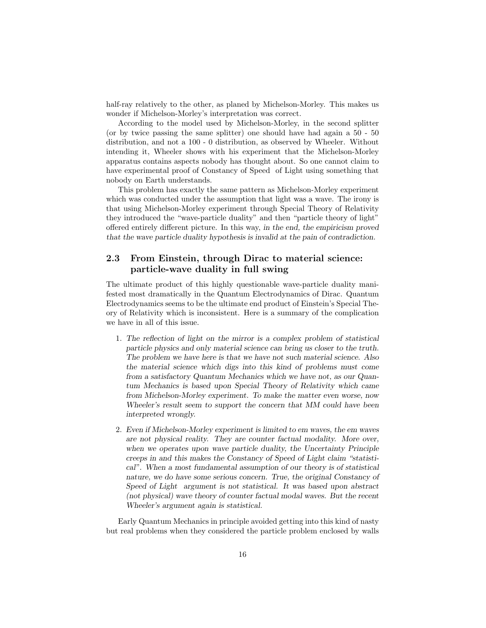half-ray relatively to the other, as planed by Michelson-Morley. This makes us wonder if Michelson-Morley's interpretation was correct.

According to the model used by Michelson-Morley, in the second splitter (or by twice passing the same splitter) one should have had again a 50 - 50 distribution, and not a 100 - 0 distribution, as observed by Wheeler. Without intending it, Wheeler shows with his experiment that the Michelson-Morley apparatus contains aspects nobody has thought about. So one cannot claim to have experimental proof of Constancy of Speed of Light using something that nobody on Earth understands.

This problem has exactly the same pattern as Michelson-Morley experiment which was conducted under the assumption that light was a wave. The irony is that using Michelson-Morley experiment through Special Theory of Relativity they introduced the "wave-particle duality" and then "particle theory of light" offered entirely different picture. In this way, in the end, the empiricism proved that the wave particle duality hypothesis is invalid at the pain of contradiction.

## 2.3 From Einstein, through Dirac to material science: particle-wave duality in full swing

The ultimate product of this highly questionable wave-particle duality manifested most dramatically in the Quantum Electrodynamics of Dirac. Quantum Electrodynamics seems to be the ultimate end product of Einstein's Special Theory of Relativity which is inconsistent. Here is a summary of the complication we have in all of this issue.

- 1. The reflection of light on the mirror is a complex problem of statistical particle physics and only material science can bring us closer to the truth. The problem we have here is that we have not such material science. Also the material science which digs into this kind of problems must come from a satisfactory Quantum Mechanics which we have not, as our Quantum Mechanics is based upon Special Theory of Relativity which came from Michelson-Morley experiment. To make the matter even worse, now Wheeler's result seem to support the concern that MM could have been interpreted wrongly.
- 2. Even if Michelson-Morley experiment is limited to em waves, the em waves are not physical reality. They are counter factual modality. More over, when we operates upon wave particle duality, the Uncertainty Principle creeps in and this makes the Constancy of Speed of Light claim "statistical". When a most fundamental assumption of our theory is of statistical nature, we do have some serious concern. True, the original Constancy of Speed of Light argument is not statistical. It was based upon abstract (not physical) wave theory of counter factual modal waves. But the recent Wheeler's argument again is statistical.

Early Quantum Mechanics in principle avoided getting into this kind of nasty but real problems when they considered the particle problem enclosed by walls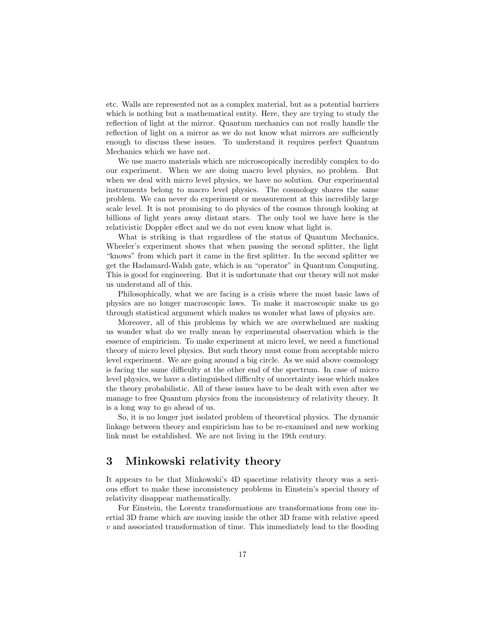etc. Walls are represented not as a complex material, but as a potential barriers which is nothing but a mathematical entity. Here, they are trying to study the reflection of light at the mirror. Quantum mechanics can not really handle the reflection of light on a mirror as we do not know what mirrors are sufficiently enough to discuss these issues. To understand it requires perfect Quantum Mechanics which we have not.

We use macro materials which are microscopically incredibly complex to do our experiment. When we are doing macro level physics, no problem. But when we deal with micro level physics, we have no solution. Our experimental instruments belong to macro level physics. The cosmology shares the same problem. We can never do experiment or measurement at this incredibly large scale level. It is not promising to do physics of the cosmos through looking at billions of light years away distant stars. The only tool we have here is the relativistic Doppler effect and we do not even know what light is.

What is striking is that regardless of the status of Quantum Mechanics, Wheeler's experiment shows that when passing the second splitter, the light "knows" from which part it came in the first splitter. In the second splitter we get the Hadamard-Walsh gate, which is an "operator" in Quantum Computing. This is good for engineering. But it is unfortunate that our theory will not make us understand all of this.

Philosophically, what we are facing is a crisis where the most basic laws of physics are no longer macroscopic laws. To make it macroscopic make us go through statistical argument which makes us wonder what laws of physics are.

Moreover, all of this problems by which we are overwhelmed are making us wonder what do we really mean by experimental observation which is the essence of empiricism. To make experiment at micro level, we need a functional theory of micro level physics. But such theory must come from acceptable micro level experiment. We are going around a big circle. As we said above cosmology is facing the same difficulty at the other end of the spectrum. In case of micro level physics, we have a distinguished difficulty of uncertainty issue which makes the theory probabilistic. All of these issues have to be dealt with even after we manage to free Quantum physics from the inconsistency of relativity theory. It is a long way to go ahead of us.

So, it is no longer just isolated problem of theoretical physics. The dynamic linkage between theory and empiricism has to be re-examined and new working link must be established. We are not living in the 19th century.

## 3 Minkowski relativity theory

It appears to be that Minkowski's 4D spacetime relativity theory was a serious effort to make these inconsistency problems in Einstein's special theory of relativity disappear mathematically.

For Einstein, the Lorentz transformations are transformations from one inertial 3D frame which are moving inside the other 3D frame with relative speed  $v$  and associated transformation of time. This immediately lead to the flooding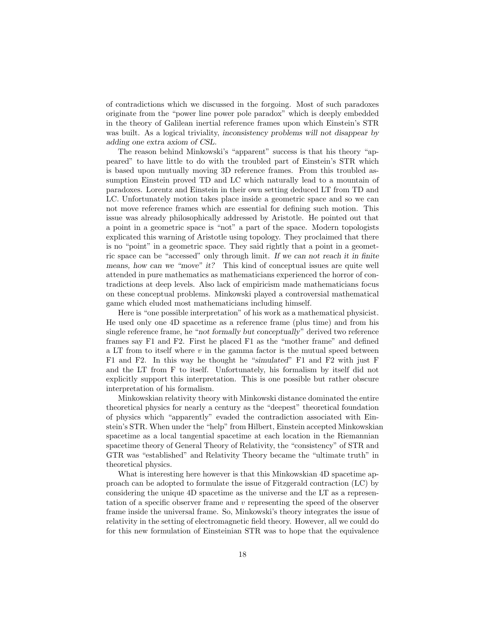of contradictions which we discussed in the forgoing. Most of such paradoxes originate from the "power line power pole paradox" which is deeply embedded in the theory of Galilean inertial reference frames upon which Einstein's STR was built. As a logical triviality, inconsistency problems will not disappear by adding one extra axiom of CSL.

The reason behind Minkowski's "apparent" success is that his theory "appeared" to have little to do with the troubled part of Einstein's STR which is based upon mutually moving 3D reference frames. From this troubled assumption Einstein proved TD and LC which naturally lead to a mountain of paradoxes. Lorentz and Einstein in their own setting deduced LT from TD and LC. Unfortunately motion takes place inside a geometric space and so we can not move reference frames which are essential for defining such motion. This issue was already philosophically addressed by Aristotle. He pointed out that a point in a geometric space is "not" a part of the space. Modern topologists explicated this warning of Aristotle using topology. They proclaimed that there is no "point" in a geometric space. They said rightly that a point in a geometric space can be "accessed" only through limit. If we can not reach it in finite means, how can we "move" it? This kind of conceptual issues are quite well attended in pure mathematics as mathematicians experienced the horror of contradictions at deep levels. Also lack of empiricism made mathematicians focus on these conceptual problems. Minkowski played a controversial mathematical game which eluded most mathematicians including himself.

Here is "one possible interpretation" of his work as a mathematical physicist. He used only one 4D spacetime as a reference frame (plus time) and from his single reference frame, he "not formally but conceptually" derived two reference frames say F1 and F2. First he placed F1 as the "mother frame" and defined a LT from to itself where  $v$  in the gamma factor is the mutual speed between F1 and F2. In this way he thought he "simulated" F1 and F2 with just F and the LT from F to itself. Unfortunately, his formalism by itself did not explicitly support this interpretation. This is one possible but rather obscure interpretation of his formalism.

Minkowskian relativity theory with Minkowski distance dominated the entire theoretical physics for nearly a century as the "deepest" theoretical foundation of physics which "apparently" evaded the contradiction associated with Einstein's STR. When under the "help" from Hilbert, Einstein accepted Minkowskian spacetime as a local tangential spacetime at each location in the Riemannian spacetime theory of General Theory of Relativity, the "consistency" of STR and GTR was "established" and Relativity Theory became the "ultimate truth" in theoretical physics.

What is interesting here however is that this Minkowskian 4D spacetime approach can be adopted to formulate the issue of Fitzgerald contraction (LC) by considering the unique 4D spacetime as the universe and the LT as a representation of a specific observer frame and  $v$  representing the speed of the observer frame inside the universal frame. So, Minkowski's theory integrates the issue of relativity in the setting of electromagnetic field theory. However, all we could do for this new formulation of Einsteinian STR was to hope that the equivalence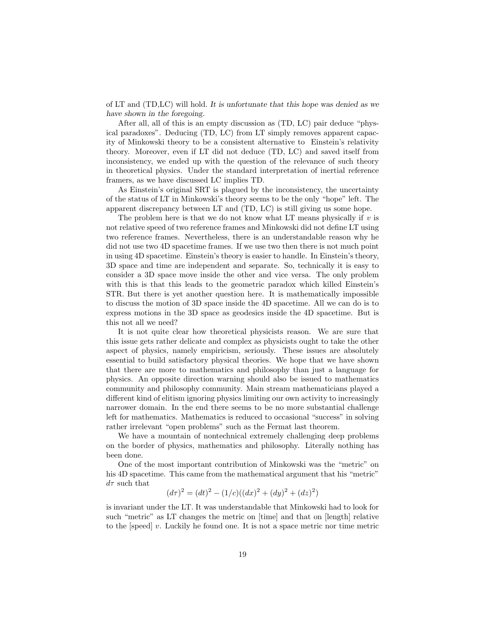of LT and (TD,LC) will hold. It is unfortunate that this hope was denied as we have shown in the foregoing.

After all, all of this is an empty discussion as (TD, LC) pair deduce "physical paradoxes". Deducing (TD, LC) from LT simply removes apparent capacity of Minkowski theory to be a consistent alternative to Einstein's relativity theory. Moreover, even if LT did not deduce (TD, LC) and saved itself from inconsistency, we ended up with the question of the relevance of such theory in theoretical physics. Under the standard interpretation of inertial reference framers, as we have discussed LC implies TD.

As Einstein's original SRT is plagued by the inconsistency, the uncertainty of the status of LT in Minkowski's theory seems to be the only "hope" left. The apparent discrepancy between LT and (TD, LC) is still giving us some hope.

The problem here is that we do not know what LT means physically if  $v$  is not relative speed of two reference frames and Minkowski did not define LT using two reference frames. Nevertheless, there is an understandable reason why he did not use two 4D spacetime frames. If we use two then there is not much point in using 4D spacetime. Einstein's theory is easier to handle. In Einstein's theory, 3D space and time are independent and separate. So, technically it is easy to consider a 3D space move inside the other and vice versa. The only problem with this is that this leads to the geometric paradox which killed Einstein's STR. But there is yet another question here. It is mathematically impossible to discuss the motion of 3D space inside the 4D spacetime. All we can do is to express motions in the 3D space as geodesics inside the 4D spacetime. But is this not all we need?

It is not quite clear how theoretical physicists reason. We are sure that this issue gets rather delicate and complex as physicists ought to take the other aspect of physics, namely empiricism, seriously. These issues are absolutely essential to build satisfactory physical theories. We hope that we have shown that there are more to mathematics and philosophy than just a language for physics. An opposite direction warning should also be issued to mathematics community and philosophy community. Main stream mathematicians played a different kind of elitism ignoring physics limiting our own activity to increasingly narrower domain. In the end there seems to be no more substantial challenge left for mathematics. Mathematics is reduced to occasional "success" in solving rather irrelevant "open problems" such as the Fermat last theorem.

We have a mountain of nontechnical extremely challenging deep problems on the border of physics, mathematics and philosophy. Literally nothing has been done.

One of the most important contribution of Minkowski was the "metric" on his 4D spacetime. This came from the mathematical argument that his "metric"  $d\tau$  such that

$$
(d\tau)^2 = (dt)^2 - (1/c)((dx)^2 + (dy)^2 + (dz)^2)
$$

is invariant under the LT. It was understandable that Minkowski had to look for such "metric" as LT changes the metric on [time] and that on [length] relative to the  $[speed]$  v. Luckily he found one. It is not a space metric nor time metric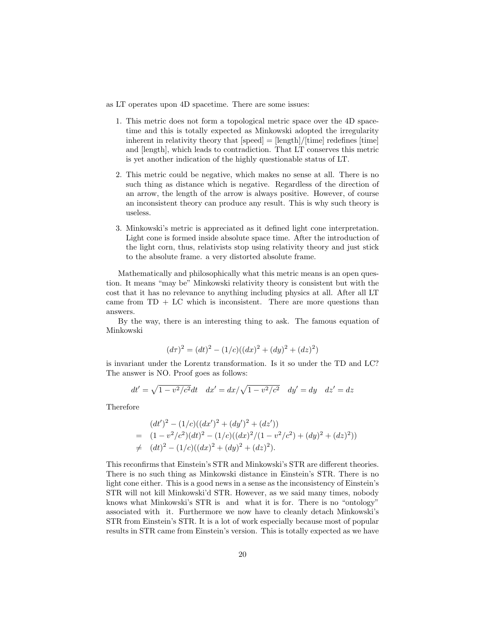as LT operates upon 4D spacetime. There are some issues:

- 1. This metric does not form a topological metric space over the 4D spacetime and this is totally expected as Minkowski adopted the irregularity inherent in relativity theory that [speed] = [length]/[time] redefines [time] and [length], which leads to contradiction. That LT conserves this metric is yet another indication of the highly questionable status of LT.
- 2. This metric could be negative, which makes no sense at all. There is no such thing as distance which is negative. Regardless of the direction of an arrow, the length of the arrow is always positive. However, of course an inconsistent theory can produce any result. This is why such theory is useless.
- 3. Minkowski's metric is appreciated as it defined light cone interpretation. Light cone is formed inside absolute space time. After the introduction of the light corn, thus, relativists stop using relativity theory and just stick to the absolute frame. a very distorted absolute frame.

Mathematically and philosophically what this metric means is an open question. It means "may be" Minkowski relativity theory is consistent but with the cost that it has no relevance to anything including physics at all. After all LT came from  $TD + LC$  which is inconsistent. There are more questions than answers.

By the way, there is an interesting thing to ask. The famous equation of Minkowski

$$
(d\tau)^2 = (dt)^2 - (1/c)((dx)^2 + (dy)^2 + (dz)^2)
$$

is invariant under the Lorentz transformation. Is it so under the TD and LC? The answer is NO. Proof goes as follows:

$$
dt' = \sqrt{1 - v^2/c^2} dt \quad dx' = dx/\sqrt{1 - v^2/c^2} \quad dy' = dy \quad dz' = dz
$$

Therefore

$$
(dt')^{2} - (1/c)((dx')^{2} + (dy')^{2} + (dz'))
$$
  
=  $(1 - v^{2}/c^{2})(dt)^{2} - (1/c)((dx)^{2}/(1 - v^{2}/c^{2}) + (dy)^{2} + (dz)^{2}))$   
 $\neq (dt)^{2} - (1/c)((dx)^{2} + (dy)^{2} + (dz)^{2}).$ 

This reconfirms that Einstein's STR and Minkowski's STR are different theories. There is no such thing as Minkowski distance in Einstein's STR. There is no light cone either. This is a good news in a sense as the inconsistency of Einstein's STR will not kill Minkowski'd STR. However, as we said many times, nobody knows what Minkowski's STR is and what it is for. There is no "ontology" associated with it. Furthermore we now have to cleanly detach Minkowski's STR from Einstein's STR. It is a lot of work especially because most of popular results in STR came from Einstein's version. This is totally expected as we have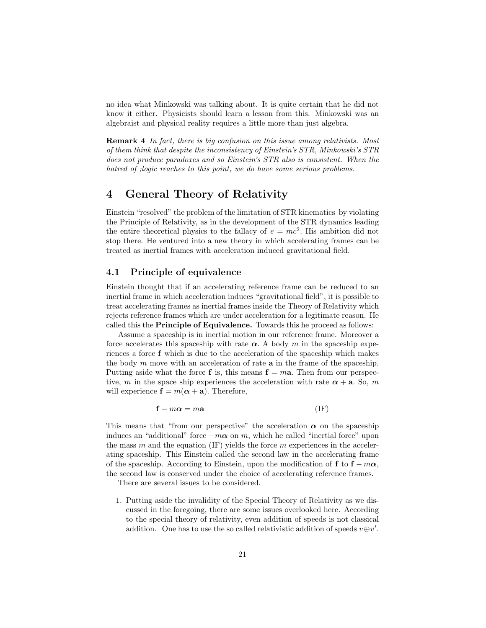no idea what Minkowski was talking about. It is quite certain that he did not know it either. Physicists should learn a lesson from this. Minkowski was an algebraist and physical reality requires a little more than just algebra.

Remark 4 In fact, there is big confusion on this issue among relativists. Most of them think that despite the inconsistency of Einstein's STR, Minkowski's STR does not produce paradoxes and so Einstein's STR also is consistent. When the hatred of ;logic reaches to this point, we do have some serious problems.

## 4 General Theory of Relativity

Einstein "resolved" the problem of the limitation of STR kinematics by violating the Principle of Relativity, as in the development of the STR dynamics leading the entire theoretical physics to the fallacy of  $e = mc^2$ . His ambition did not stop there. He ventured into a new theory in which accelerating frames can be treated as inertial frames with acceleration induced gravitational field.

## 4.1 Principle of equivalence

Einstein thought that if an accelerating reference frame can be reduced to an inertial frame in which acceleration induces "gravitational field", it is possible to treat accelerating frames as inertial frames inside the Theory of Relativity which rejects reference frames which are under acceleration for a legitimate reason. He called this the Principle of Equivalence. Towards this he proceed as follows:

Assume a spaceship is in inertial motion in our reference frame. Moreover a force accelerates this spaceship with rate  $\alpha$ . A body m in the spaceship experiences a force f which is due to the acceleration of the spaceship which makes the body  $m$  move with an acceleration of rate  $a$  in the frame of the spaceship. Putting aside what the force **f** is, this means  $f = m\mathbf{a}$ . Then from our perspective, m in the space ship experiences the acceleration with rate  $\alpha + a$ . So, m will experience  $\mathbf{f} = m(\boldsymbol{\alpha} + \mathbf{a})$ . Therefore,

$$
\mathbf{f} - m\mathbf{\alpha} = m\mathbf{a} \tag{IF}
$$

This means that "from our perspective" the acceleration  $\alpha$  on the spaceship induces an "additional" force  $-m\alpha$  on m, which he called "inertial force" upon the mass  $m$  and the equation (IF) yields the force  $m$  experiences in the accelerating spaceship. This Einstein called the second law in the accelerating frame of the spaceship. According to Einstein, upon the modification of f to  $f - m\alpha$ , the second law is conserved under the choice of accelerating reference frames.

There are several issues to be considered.

1. Putting aside the invalidity of the Special Theory of Relativity as we discussed in the foregoing, there are some issues overlooked here. According to the special theory of relativity, even addition of speeds is not classical addition. One has to use the so called relativistic addition of speeds  $v \oplus v'$ .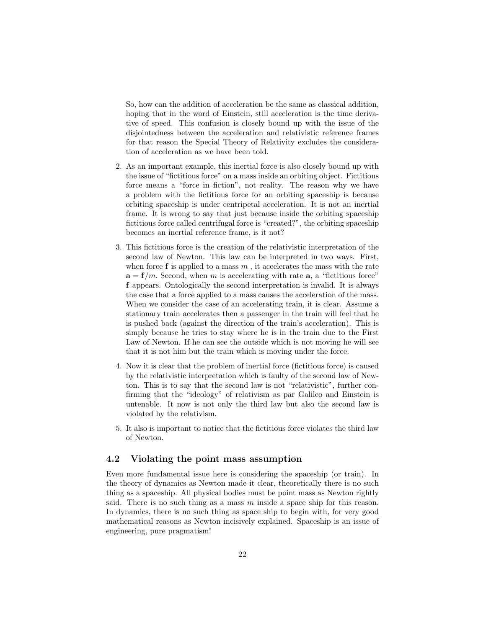So, how can the addition of acceleration be the same as classical addition, hoping that in the word of Einstein, still acceleration is the time derivative of speed. This confusion is closely bound up with the issue of the disjointedness between the acceleration and relativistic reference frames for that reason the Special Theory of Relativity excludes the consideration of acceleration as we have been told.

- 2. As an important example, this inertial force is also closely bound up with the issue of "fictitious force" on a mass inside an orbiting object. Fictitious force means a "force in fiction", not reality. The reason why we have a problem with the fictitious force for an orbiting spaceship is because orbiting spaceship is under centripetal acceleration. It is not an inertial frame. It is wrong to say that just because inside the orbiting spaceship fictitious force called centrifugal force is "created?", the orbiting spaceship becomes an inertial reference frame, is it not?
- 3. This fictitious force is the creation of the relativistic interpretation of the second law of Newton. This law can be interpreted in two ways. First, when force  $f$  is applied to a mass  $m$ , it accelerates the mass with the rate  $\mathbf{a} = \mathbf{f}/m$ . Second, when m is accelerating with rate  $\mathbf{a}$ , a "fictitious force" f appears. Ontologically the second interpretation is invalid. It is always the case that a force applied to a mass causes the acceleration of the mass. When we consider the case of an accelerating train, it is clear. Assume a stationary train accelerates then a passenger in the train will feel that he is pushed back (against the direction of the train's acceleration). This is simply because he tries to stay where he is in the train due to the First Law of Newton. If he can see the outside which is not moving he will see that it is not him but the train which is moving under the force.
- 4. Now it is clear that the problem of inertial force (fictitious force) is caused by the relativistic interpretation which is faulty of the second law of Newton. This is to say that the second law is not "relativistic", further confirming that the "ideology" of relativism as par Galileo and Einstein is untenable. It now is not only the third law but also the second law is violated by the relativism.
- 5. It also is important to notice that the fictitious force violates the third law of Newton.

## 4.2 Violating the point mass assumption

Even more fundamental issue here is considering the spaceship (or train). In the theory of dynamics as Newton made it clear, theoretically there is no such thing as a spaceship. All physical bodies must be point mass as Newton rightly said. There is no such thing as a mass  $m$  inside a space ship for this reason. In dynamics, there is no such thing as space ship to begin with, for very good mathematical reasons as Newton incisively explained. Spaceship is an issue of engineering, pure pragmatism!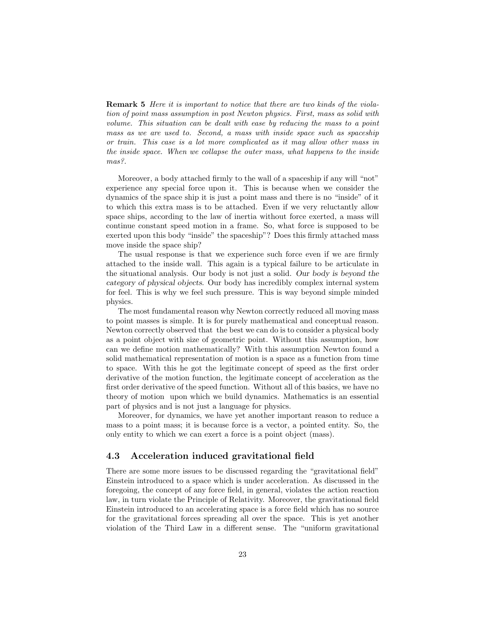Remark 5 Here it is important to notice that there are two kinds of the violation of point mass assumption in post Newton physics. First, mass as solid with volume. This situation can be dealt with ease by reducing the mass to a point mass as we are used to. Second, a mass with inside space such as spaceship or train. This case is a lot more complicated as it may allow other mass in the inside space. When we collapse the outer mass, what happens to the inside mas?.

Moreover, a body attached firmly to the wall of a spaceship if any will "not" experience any special force upon it. This is because when we consider the dynamics of the space ship it is just a point mass and there is no "inside" of it to which this extra mass is to be attached. Even if we very reluctantly allow space ships, according to the law of inertia without force exerted, a mass will continue constant speed motion in a frame. So, what force is supposed to be exerted upon this body "inside" the spaceship"? Does this firmly attached mass move inside the space ship?

The usual response is that we experience such force even if we are firmly attached to the inside wall. This again is a typical failure to be articulate in the situational analysis. Our body is not just a solid. Our body is beyond the category of physical objects. Our body has incredibly complex internal system for feel. This is why we feel such pressure. This is way beyond simple minded physics.

The most fundamental reason why Newton correctly reduced all moving mass to point masses is simple. It is for purely mathematical and conceptual reason. Newton correctly observed that the best we can do is to consider a physical body as a point object with size of geometric point. Without this assumption, how can we define motion mathematically? With this assumption Newton found a solid mathematical representation of motion is a space as a function from time to space. With this he got the legitimate concept of speed as the first order derivative of the motion function, the legitimate concept of acceleration as the first order derivative of the speed function. Without all of this basics, we have no theory of motion upon which we build dynamics. Mathematics is an essential part of physics and is not just a language for physics.

Moreover, for dynamics, we have yet another important reason to reduce a mass to a point mass; it is because force is a vector, a pointed entity. So, the only entity to which we can exert a force is a point object (mass).

### 4.3 Acceleration induced gravitational field

There are some more issues to be discussed regarding the "gravitational field" Einstein introduced to a space which is under acceleration. As discussed in the foregoing, the concept of any force field, in general, violates the action reaction law, in turn violate the Principle of Relativity. Moreover, the gravitational field Einstein introduced to an accelerating space is a force field which has no source for the gravitational forces spreading all over the space. This is yet another violation of the Third Law in a different sense. The "uniform gravitational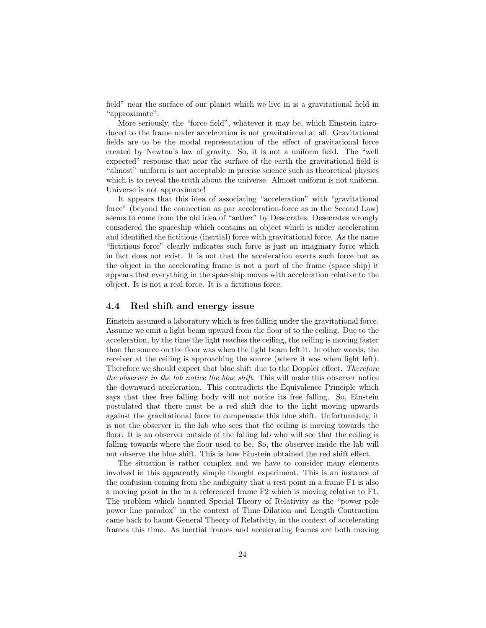field" near the surface of our planet which we live in is a gravitational field in "approximate".

More seriously, the "force field", whatever it may be, which Einstein introduced to the frame under acceleration is not gravitational at all. Gravitational fields are to be the modal representation of the effect of gravitational force created by Newton's law of gravity. So, it is not a uniform field. The "well expected" response that near the surface of the earth the gravitational field is "almost" uniform is not acceptable in precise science such as theoretical physics which is to reveal the truth about the universe. Almost uniform is not uniform. Universe is not approximate!

It appears that this idea of associating "acceleration" with "gravitational force" (beyond the connection as par acceleration-force as in the Second Law) seems to come from the old idea of "aether" by Desecrates. Desecrates wrongly considered the spaceship which contains an object which is under acceleration and identified the fictitious (inertial) force with gravitational force. As the name "fictitious force" clearly indicates such force is just an imaginary force which in fact does not exist. It is not that the acceleration exerts such force but as the object in the accelerating frame is not a part of the frame (space ship) it appears that everything in the spaceship moves with acceleration relative to the object. It is not a real force. It is a fictitious force.

## 4.4 Red shift and energy issue

Einstein assumed a laboratory which is free falling under the gravitational force. Assume we emit a light beam upward from the floor of to the ceiling. Due to the acceleration, by the time the light reaches the ceiling, the ceiling is moving faster than the source on the floor was when the light beam left it. In other words, the receiver at the ceiling is approaching the source (where it was when light left). Therefore we should expect that blue shift due to the Doppler effect. Therefore the observer in the lab notice the blue shift. This will make this observer notice the downward acceleration. This contradicts the Equivalence Principle which says that thee free falling body will not notice its free falling. So, Einstein postulated that there must be a red shift due to the light moving upwards against the gravitational force to compensate this blue shift. Unfortunately, it is not the observer in the lab who sees that the ceiling is moving towards the floor. It is an observer outside of the falling lab who will see that the ceiling is falling towards where the floor used to be. So, the observer inside the lab will not observe the blue shift. This is how Einstein obtained the red shift effect.

The situation is rather complex and we have to consider many elements involved in this apparently simple thought experiment. This is an instance of the confusion coming from the ambiguity that a rest point in a frame F1 is also a moving point in the in a referenced frame F2 which is moving relative to F1. The problem which haunted Special Theory of Relativity as the "power pole power line paradox" in the context of Time Dilation and Length Contraction came back to haunt General Theory of Relativity, in the context of accelerating frames this time. As inertial frames and accelerating frames are both moving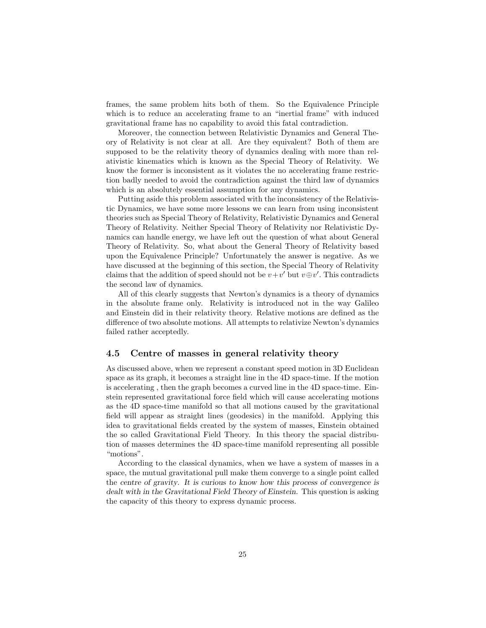frames, the same problem hits both of them. So the Equivalence Principle which is to reduce an accelerating frame to an "inertial frame" with induced gravitational frame has no capability to avoid this fatal contradiction.

Moreover, the connection between Relativistic Dynamics and General Theory of Relativity is not clear at all. Are they equivalent? Both of them are supposed to be the relativity theory of dynamics dealing with more than relativistic kinematics which is known as the Special Theory of Relativity. We know the former is inconsistent as it violates the no accelerating frame restriction badly needed to avoid the contradiction against the third law of dynamics which is an absolutely essential assumption for any dynamics.

Putting aside this problem associated with the inconsistency of the Relativistic Dynamics, we have some more lessons we can learn from using inconsistent theories such as Special Theory of Relativity, Relativistic Dynamics and General Theory of Relativity. Neither Special Theory of Relativity nor Relativistic Dynamics can handle energy, we have left out the question of what about General Theory of Relativity. So, what about the General Theory of Relativity based upon the Equivalence Principle? Unfortunately the answer is negative. As we have discussed at the beginning of this section, the Special Theory of Relativity claims that the addition of speed should not be  $v+v'$  but  $v \oplus v'$ . This contradicts the second law of dynamics.

All of this clearly suggests that Newton's dynamics is a theory of dynamics in the absolute frame only. Relativity is introduced not in the way Galileo and Einstein did in their relativity theory. Relative motions are defined as the difference of two absolute motions. All attempts to relativize Newton's dynamics failed rather acceptedly.

## 4.5 Centre of masses in general relativity theory

As discussed above, when we represent a constant speed motion in 3D Euclidean space as its graph, it becomes a straight line in the 4D space-time. If the motion is accelerating , then the graph becomes a curved line in the 4D space-time. Einstein represented gravitational force field which will cause accelerating motions as the 4D space-time manifold so that all motions caused by the gravitational field will appear as straight lines (geodesics) in the manifold. Applying this idea to gravitational fields created by the system of masses, Einstein obtained the so called Gravitational Field Theory. In this theory the spacial distribution of masses determines the 4D space-time manifold representing all possible "motions".

According to the classical dynamics, when we have a system of masses in a space, the mutual gravitational pull make them converge to a single point called the centre of gravity. It is curious to know how this process of convergence is dealt with in the Gravitational Field Theory of Einstein. This question is asking the capacity of this theory to express dynamic process.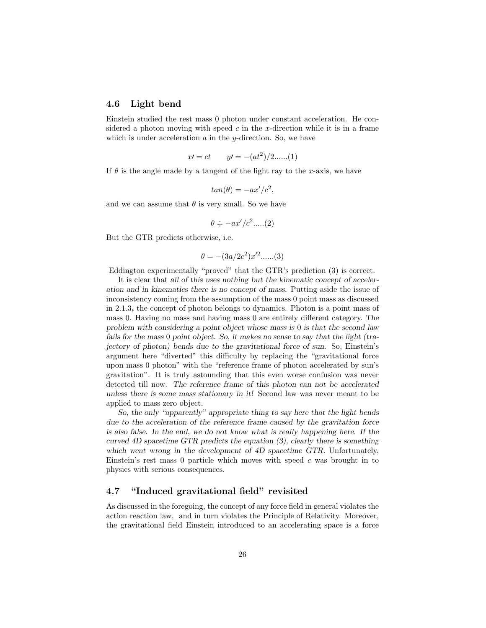## 4.6 Light bend

Einstein studied the rest mass 0 photon under constant acceleration. He considered a photon moving with speed  $c$  in the x-direction while it is in a frame which is under acceleration  $a$  in the y-direction. So, we have

$$
xt = ct
$$
  $y' = -(at^2)/2.....(1)$ 

If  $\theta$  is the angle made by a tangent of the light ray to the x-axis, we have

$$
tan(\theta) = -ax'/c^2,
$$

and we can assume that  $\theta$  is very small. So we have

$$
\theta \doteq -ax'/c^2.....(2)
$$

But the GTR predicts otherwise, i.e.

$$
\theta = -(3a/2c^2)x'^2.....(3)
$$

Eddington experimentally "proved" that the GTR's prediction (3) is correct.

It is clear that all of this uses nothing but the kinematic concept of acceleration and in kinematics there is no concept of mass. Putting aside the issue of inconsistency coming from the assumption of the mass 0 point mass as discussed in 2.1.3, the concept of photon belongs to dynamics. Photon is a point mass of mass 0. Having no mass and having mass 0 are entirely different category. The problem with considering a point object whose mass is 0 is that the second law fails for the mass 0 point object. So, it makes no sense to say that the light (trajectory of photon) bends due to the gravitational force of sun. So, Einstein's argument here "diverted" this difficulty by replacing the "gravitational force upon mass 0 photon" with the "reference frame of photon accelerated by sun's gravitation". It is truly astounding that this even worse confusion was never detected till now. The reference frame of this photon can not be accelerated unless there is some mass stationary in it! Second law was never meant to be applied to mass zero object.

So, the only "apparently" appropriate thing to say here that the light bends due to the acceleration of the reference frame caused by the gravitation force is also false. In the end, we do not know what is really happening here. If the curved 4D spacetime GTR predicts the equation (3), clearly there is something which went wrong in the development of 4D spacetime GTR. Unfortunately, Einstein's rest mass 0 particle which moves with speed  $c$  was brought in to physics with serious consequences.

## 4.7 "Induced gravitational field" revisited

As discussed in the foregoing, the concept of any force field in general violates the action reaction law, and in turn violates the Principle of Relativity. Moreover, the gravitational field Einstein introduced to an accelerating space is a force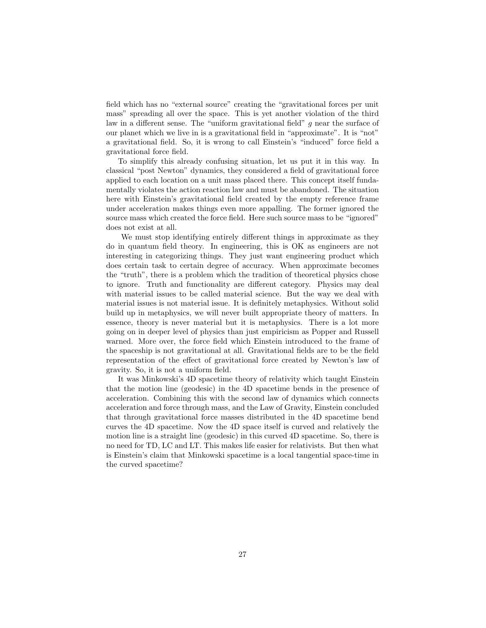field which has no "external source" creating the "gravitational forces per unit mass" spreading all over the space. This is yet another violation of the third law in a different sense. The "uniform gravitational field" g near the surface of our planet which we live in is a gravitational field in "approximate". It is "not" a gravitational field. So, it is wrong to call Einstein's "induced" force field a gravitational force field.

To simplify this already confusing situation, let us put it in this way. In classical "post Newton" dynamics, they considered a field of gravitational force applied to each location on a unit mass placed there. This concept itself fundamentally violates the action reaction law and must be abandoned. The situation here with Einstein's gravitational field created by the empty reference frame under acceleration makes things even more appalling. The former ignored the source mass which created the force field. Here such source mass to be "ignored" does not exist at all.

We must stop identifying entirely different things in approximate as they do in quantum field theory. In engineering, this is OK as engineers are not interesting in categorizing things. They just want engineering product which does certain task to certain degree of accuracy. When approximate becomes the "truth", there is a problem which the tradition of theoretical physics chose to ignore. Truth and functionality are different category. Physics may deal with material issues to be called material science. But the way we deal with material issues is not material issue. It is definitely metaphysics. Without solid build up in metaphysics, we will never built appropriate theory of matters. In essence, theory is never material but it is metaphysics. There is a lot more going on in deeper level of physics than just empiricism as Popper and Russell warned. More over, the force field which Einstein introduced to the frame of the spaceship is not gravitational at all. Gravitational fields are to be the field representation of the effect of gravitational force created by Newton's law of gravity. So, it is not a uniform field.

It was Minkowski's 4D spacetime theory of relativity which taught Einstein that the motion line (geodesic) in the 4D spacetime bends in the presence of acceleration. Combining this with the second law of dynamics which connects acceleration and force through mass, and the Law of Gravity, Einstein concluded that through gravitational force masses distributed in the 4D spacetime bend curves the 4D spacetime. Now the 4D space itself is curved and relatively the motion line is a straight line (geodesic) in this curved 4D spacetime. So, there is no need for TD, LC and LT. This makes life easier for relativists. But then what is Einstein's claim that Minkowski spacetime is a local tangential space-time in the curved spacetime?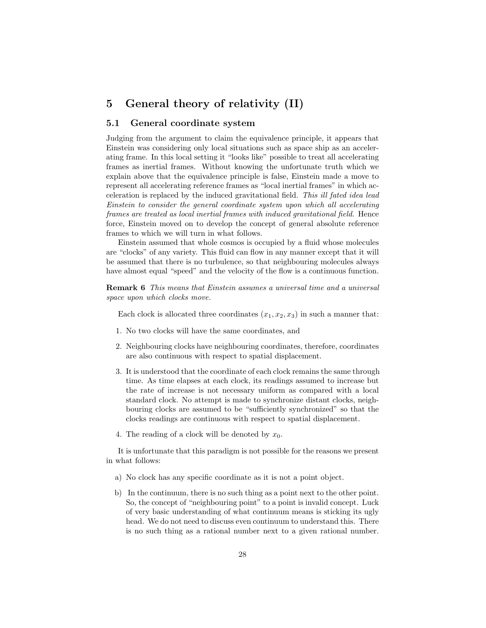## 5 General theory of relativity (II)

## 5.1 General coordinate system

Judging from the argument to claim the equivalence principle, it appears that Einstein was considering only local situations such as space ship as an accelerating frame. In this local setting it "looks like" possible to treat all accelerating frames as inertial frames. Without knowing the unfortunate truth which we explain above that the equivalence principle is false, Einstein made a move to represent all accelerating reference frames as "local inertial frames" in which acceleration is replaced by the induced gravitational field. This ill fated idea lead Einstein to consider the general coordinate system upon which all accelerating frames are treated as local inertial frames with induced gravitational field. Hence force, Einstein moved on to develop the concept of general absolute reference frames to which we will turn in what follows.

Einstein assumed that whole cosmos is occupied by a fluid whose molecules are "clocks" of any variety. This fluid can flow in any manner except that it will be assumed that there is no turbulence, so that neighbouring molecules always have almost equal "speed" and the velocity of the flow is a continuous function.

Remark 6 This means that Einstein assumes a universal time and a universal space upon which clocks move.

Each clock is allocated three coordinates  $(x_1, x_2, x_3)$  in such a manner that:

- 1. No two clocks will have the same coordinates, and
- 2. Neighbouring clocks have neighbouring coordinates, therefore, coordinates are also continuous with respect to spatial displacement.
- 3. It is understood that the coordinate of each clock remains the same through time. As time elapses at each clock, its readings assumed to increase but the rate of increase is not necessary uniform as compared with a local standard clock. No attempt is made to synchronize distant clocks, neighbouring clocks are assumed to be "sufficiently synchronized" so that the clocks readings are continuous with respect to spatial displacement.
- 4. The reading of a clock will be denoted by  $x_0$ .

It is unfortunate that this paradigm is not possible for the reasons we present in what follows:

- a) No clock has any specific coordinate as it is not a point object.
- b) In the continuum, there is no such thing as a point next to the other point. So, the concept of "neighbouring point" to a point is invalid concept. Luck of very basic understanding of what continuum means is sticking its ugly head. We do not need to discuss even continuum to understand this. There is no such thing as a rational number next to a given rational number.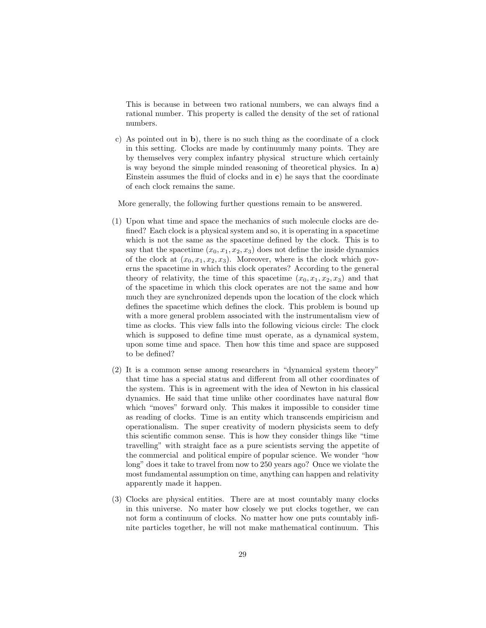This is because in between two rational numbers, we can always find a rational number. This property is called the density of the set of rational numbers.

c) As pointed out in b), there is no such thing as the coordinate of a clock in this setting. Clocks are made by continuumly many points. They are by themselves very complex infantry physical structure which certainly is way beyond the simple minded reasoning of theoretical physics. In a) Einstein assumes the fluid of clocks and in  $c$ ) he says that the coordinate of each clock remains the same.

More generally, the following further questions remain to be answered.

- (1) Upon what time and space the mechanics of such molecule clocks are defined? Each clock is a physical system and so, it is operating in a spacetime which is not the same as the spacetime defined by the clock. This is to say that the spacetime  $(x_0, x_1, x_2, x_3)$  does not define the inside dynamics of the clock at  $(x_0, x_1, x_2, x_3)$ . Moreover, where is the clock which governs the spacetime in which this clock operates? According to the general theory of relativity, the time of this spacetime  $(x_0, x_1, x_2, x_3)$  and that of the spacetime in which this clock operates are not the same and how much they are synchronized depends upon the location of the clock which defines the spacetime which defines the clock. This problem is bound up with a more general problem associated with the instrumentalism view of time as clocks. This view falls into the following vicious circle: The clock which is supposed to define time must operate, as a dynamical system, upon some time and space. Then how this time and space are supposed to be defined?
- (2) It is a common sense among researchers in "dynamical system theory" that time has a special status and different from all other coordinates of the system. This is in agreement with the idea of Newton in his classical dynamics. He said that time unlike other coordinates have natural flow which "moves" forward only. This makes it impossible to consider time as reading of clocks. Time is an entity which transcends empiricism and operationalism. The super creativity of modern physicists seem to defy this scientific common sense. This is how they consider things like "time travelling" with straight face as a pure scientists serving the appetite of the commercial and political empire of popular science. We wonder "how long" does it take to travel from now to 250 years ago? Once we violate the most fundamental assumption on time, anything can happen and relativity apparently made it happen.
- (3) Clocks are physical entities. There are at most countably many clocks in this universe. No mater how closely we put clocks together, we can not form a continuum of clocks. No matter how one puts countably infinite particles together, he will not make mathematical continuum. This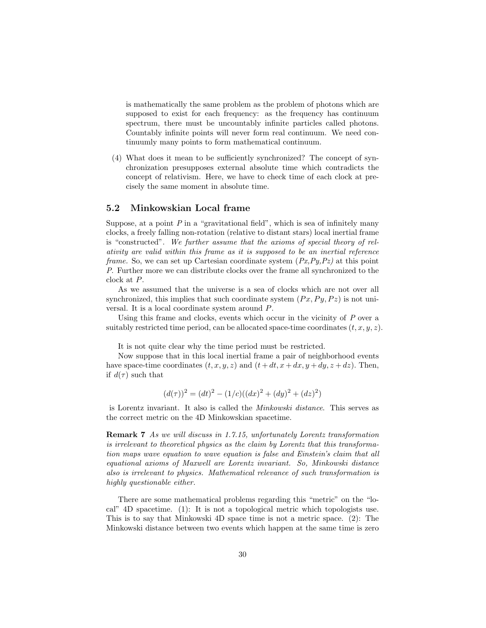is mathematically the same problem as the problem of photons which are supposed to exist for each frequency: as the frequency has continuum spectrum, there must be uncountably infinite particles called photons. Countably infinite points will never form real continuum. We need continuumly many points to form mathematical continuum.

(4) What does it mean to be sufficiently synchronized? The concept of synchronization presupposes external absolute time which contradicts the concept of relativism. Here, we have to check time of each clock at precisely the same moment in absolute time.

### 5.2 Minkowskian Local frame

Suppose, at a point  $P$  in a "gravitational field", which is sea of infinitely many clocks, a freely falling non-rotation (relative to distant stars) local inertial frame is "constructed". We further assume that the axioms of special theory of relativity are valid within this frame as it is supposed to be an inertial reference *frame.* So, we can set up Cartesian coordinate system  $(Px, Py, Pz)$  at this point P. Further more we can distribute clocks over the frame all synchronized to the clock at P.

As we assumed that the universe is a sea of clocks which are not over all synchronized, this implies that such coordinate system  $(Px, Py, Pz)$  is not universal. It is a local coordinate system around P.

Using this frame and clocks, events which occur in the vicinity of  $P$  over a suitably restricted time period, can be allocated space-time coordinates  $(t, x, y, z)$ .

It is not quite clear why the time period must be restricted.

Now suppose that in this local inertial frame a pair of neighborhood events have space-time coordinates  $(t, x, y, z)$  and  $(t + dt, x + dx, y + dy, z + dz)$ . Then, if  $d(\tau)$  such that

$$
(d(\tau))^2 = (dt)^2 - (1/c)((dx)^2 + (dy)^2 + (dz)^2)
$$

is Lorentz invariant. It also is called the Minkowski distance. This serves as the correct metric on the 4D Minkowskian spacetime.

Remark 7 As we will discuss in 1.7.15, unfortunately Lorentz transformation is irrelevant to theoretical physics as the claim by Lorentz that this transformation maps wave equation to wave equation is false and Einstein's claim that all equational axioms of Maxwell are Lorentz invariant. So, Minkowski distance also is irrelevant to physics. Mathematical relevance of such transformation is highly questionable either.

There are some mathematical problems regarding this "metric" on the "local" 4D spacetime. (1): It is not a topological metric which topologists use. This is to say that Minkowski 4D space time is not a metric space. (2): The Minkowski distance between two events which happen at the same time is zero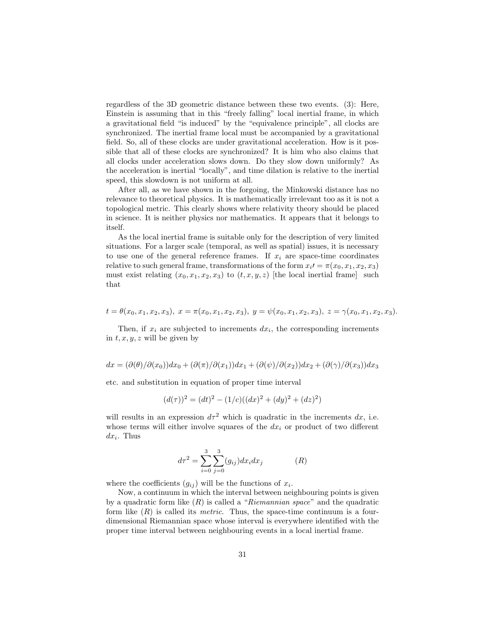regardless of the 3D geometric distance between these two events. (3): Here, Einstein is assuming that in this "freely falling" local inertial frame, in which a gravitational field "is induced" by the "equivalence principle", all clocks are synchronized. The inertial frame local must be accompanied by a gravitational field. So, all of these clocks are under gravitational acceleration. How is it possible that all of these clocks are synchronized? It is him who also claims that all clocks under acceleration slows down. Do they slow down uniformly? As the acceleration is inertial "locally", and time dilation is relative to the inertial speed, this slowdown is not uniform at all.

After all, as we have shown in the forgoing, the Minkowski distance has no relevance to theoretical physics. It is mathematically irrelevant too as it is not a topological metric. This clearly shows where relativity theory should be placed in science. It is neither physics nor mathematics. It appears that it belongs to itself.

As the local inertial frame is suitable only for the description of very limited situations. For a larger scale (temporal, as well as spatial) issues, it is necessary to use one of the general reference frames. If  $x_i$  are space-time coordinates relative to such general frame, transformations of the form  $x_i = \pi(x_0, x_1, x_2, x_3)$ must exist relating  $(x_0, x_1, x_2, x_3)$  to  $(t, x, y, z)$  [the local inertial frame] such that

$$
t = \theta(x_0, x_1, x_2, x_3), \ x = \pi(x_0, x_1, x_2, x_3), \ y = \psi(x_0, x_1, x_2, x_3), \ z = \gamma(x_0, x_1, x_2, x_3).
$$

Then, if  $x_i$  are subjected to increments  $dx_i$ , the corresponding increments in  $t, x, y, z$  will be given by

$$
dx = (\partial(\theta)/\partial(x_0))dx_0 + (\partial(\pi)/\partial(x_1))dx_1 + (\partial(\psi)/\partial(x_2))dx_2 + (\partial(\gamma)/\partial(x_3))dx_3
$$

etc. and substitution in equation of proper time interval

$$
(d(\tau))^2 = (dt)^2 - (1/c)((dx)^2 + (dy)^2 + (dz)^2)
$$

will results in an expression  $d\tau^2$  which is quadratic in the increments dx, i.e. whose terms will either involve squares of the  $dx_i$  or product of two different  $dx_i$ . Thus

$$
d\tau^2 = \sum_{i=0}^{3} \sum_{j=0}^{3} (g_{ij}) dx_i dx_j
$$
 (R)

where the coefficients  $(g_{ij})$  will be the functions of  $x_i$ .

Now, a continuum in which the interval between neighbouring points is given by a quadratic form like  $(R)$  is called a "Riemannian space" and the quadratic form like  $(R)$  is called its *metric*. Thus, the space-time continuum is a fourdimensional Riemannian space whose interval is everywhere identified with the proper time interval between neighbouring events in a local inertial frame.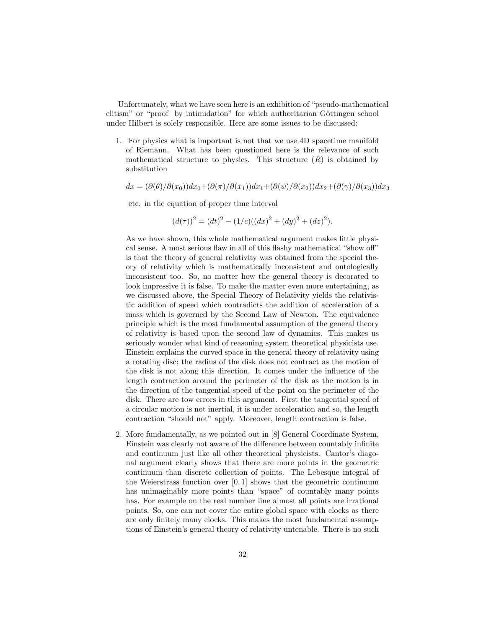Unfortunately, what we have seen here is an exhibition of "pseudo-mathematical elitism" or "proof by intimidation" for which authoritarian Göttingen school under Hilbert is solely responsible. Here are some issues to be discussed:

1. For physics what is important is not that we use 4D spacetime manifold of Riemann. What has been questioned here is the relevance of such mathematical structure to physics. This structure  $(R)$  is obtained by substitution

$$
dx = (\partial(\theta)/\partial(x_0))dx_0 + (\partial(\pi)/\partial(x_1))dx_1 + (\partial(\psi)/\partial(x_2))dx_2 + (\partial(\gamma)/\partial(x_3))dx_3
$$

etc. in the equation of proper time interval

$$
(d(\tau))^2 = (dt)^2 - (1/c)((dx)^2 + (dy)^2 + (dz)^2).
$$

As we have shown, this whole mathematical argument makes little physical sense. A most serious flaw in all of this flashy mathematical "show off" is that the theory of general relativity was obtained from the special theory of relativity which is mathematically inconsistent and ontologically inconsistent too. So, no matter how the general theory is decorated to look impressive it is false. To make the matter even more entertaining, as we discussed above, the Special Theory of Relativity yields the relativistic addition of speed which contradicts the addition of acceleration of a mass which is governed by the Second Law of Newton. The equivalence principle which is the most fundamental assumption of the general theory of relativity is based upon the second law of dynamics. This makes us seriously wonder what kind of reasoning system theoretical physicists use. Einstein explains the curved space in the general theory of relativity using a rotating disc; the radius of the disk does not contract as the motion of the disk is not along this direction. It comes under the influence of the length contraction around the perimeter of the disk as the motion is in the direction of the tangential speed of the point on the perimeter of the disk. There are tow errors in this argument. First the tangential speed of a circular motion is not inertial, it is under acceleration and so, the length contraction "should not" apply. Moreover, length contraction is false.

2. More fundamentally, as we pointed out in [8] General Coordinate System, Einstein was clearly not aware of the difference between countably infinite and continuum just like all other theoretical physicists. Cantor's diagonal argument clearly shows that there are more points in the geometric continuum than discrete collection of points. The Lebesque integral of the Weierstrass function over  $[0, 1]$  shows that the geometric continuum has unimaginably more points than "space" of countably many points has. For example on the real number line almost all points are irrational points. So, one can not cover the entire global space with clocks as there are only finitely many clocks. This makes the most fundamental assumptions of Einstein's general theory of relativity untenable. There is no such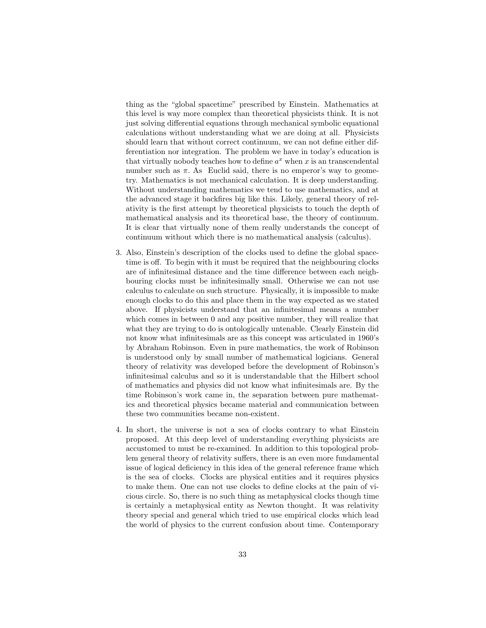thing as the "global spacetime" prescribed by Einstein. Mathematics at this level is way more complex than theoretical physicists think. It is not just solving differential equations through mechanical symbolic equational calculations without understanding what we are doing at all. Physicists should learn that without correct continuum, we can not define either differentiation nor integration. The problem we have in today's education is that virtually nobody teaches how to define  $a^x$  when x is an transcendental number such as  $\pi$ . As Euclid said, there is no emperor's way to geometry. Mathematics is not mechanical calculation. It is deep understanding. Without understanding mathematics we tend to use mathematics, and at the advanced stage it backfires big like this. Likely, general theory of relativity is the first attempt by theoretical physicists to touch the depth of mathematical analysis and its theoretical base, the theory of continuum. It is clear that virtually none of them really understands the concept of continuum without which there is no mathematical analysis (calculus).

- 3. Also, Einstein's description of the clocks used to define the global spacetime is off. To begin with it must be required that the neighbouring clocks are of infinitesimal distance and the time difference between each neighbouring clocks must be infinitesimally small. Otherwise we can not use calculus to calculate on such structure. Physically, it is impossible to make enough clocks to do this and place them in the way expected as we stated above. If physicists understand that an infinitesimal means a number which comes in between 0 and any positive number, they will realize that what they are trying to do is ontologically untenable. Clearly Einstein did not know what infinitesimals are as this concept was articulated in 1960's by Abraham Robinson. Even in pure mathematics, the work of Robinson is understood only by small number of mathematical logicians. General theory of relativity was developed before the development of Robinson's infinitesimal calculus and so it is understandable that the Hilbert school of mathematics and physics did not know what infinitesimals are. By the time Robinson's work came in, the separation between pure mathematics and theoretical physics became material and communication between these two communities became non-existent.
- 4. In short, the universe is not a sea of clocks contrary to what Einstein proposed. At this deep level of understanding everything physicists are accustomed to must be re-examined. In addition to this topological problem general theory of relativity suffers, there is an even more fundamental issue of logical deficiency in this idea of the general reference frame which is the sea of clocks. Clocks are physical entities and it requires physics to make them. One can not use clocks to define clocks at the pain of vicious circle. So, there is no such thing as metaphysical clocks though time is certainly a metaphysical entity as Newton thought. It was relativity theory special and general which tried to use empirical clocks which lead the world of physics to the current confusion about time. Contemporary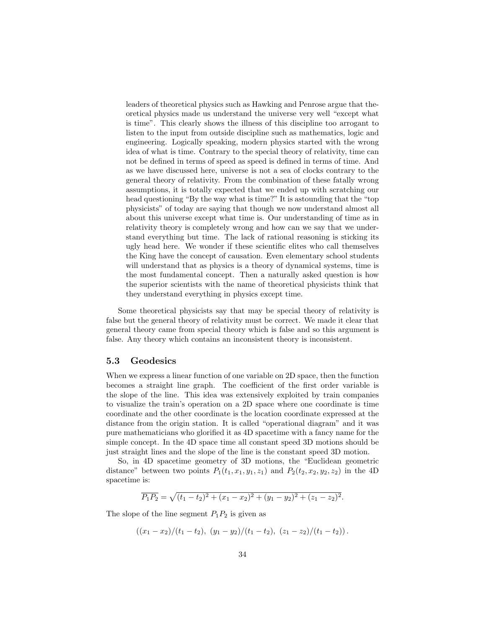leaders of theoretical physics such as Hawking and Penrose argue that theoretical physics made us understand the universe very well "except what is time". This clearly shows the illness of this discipline too arrogant to listen to the input from outside discipline such as mathematics, logic and engineering. Logically speaking, modern physics started with the wrong idea of what is time. Contrary to the special theory of relativity, time can not be defined in terms of speed as speed is defined in terms of time. And as we have discussed here, universe is not a sea of clocks contrary to the general theory of relativity. From the combination of these fatally wrong assumptions, it is totally expected that we ended up with scratching our head questioning "By the way what is time?" It is astounding that the "top physicists" of today are saying that though we now understand almost all about this universe except what time is. Our understanding of time as in relativity theory is completely wrong and how can we say that we understand everything but time. The lack of rational reasoning is sticking its ugly head here. We wonder if these scientific elites who call themselves the King have the concept of causation. Even elementary school students will understand that as physics is a theory of dynamical systems, time is the most fundamental concept. Then a naturally asked question is how the superior scientists with the name of theoretical physicists think that they understand everything in physics except time.

Some theoretical physicists say that may be special theory of relativity is false but the general theory of relativity must be correct. We made it clear that general theory came from special theory which is false and so this argument is false. Any theory which contains an inconsistent theory is inconsistent.

### 5.3 Geodesics

When we express a linear function of one variable on 2D space, then the function becomes a straight line graph. The coefficient of the first order variable is the slope of the line. This idea was extensively exploited by train companies to visualize the train's operation on a 2D space where one coordinate is time coordinate and the other coordinate is the location coordinate expressed at the distance from the origin station. It is called "operational diagram" and it was pure mathematicians who glorified it as 4D spacetime with a fancy name for the simple concept. In the 4D space time all constant speed 3D motions should be just straight lines and the slope of the line is the constant speed 3D motion.

So, in 4D spacetime geometry of 3D motions, the "Euclidean geometric distance" between two points  $P_1(t_1, x_1, y_1, z_1)$  and  $P_2(t_2, x_2, y_2, z_2)$  in the 4D spacetime is:

$$
\overline{P_1P_2} = \sqrt{(t_1 - t_2)^2 + (x_1 - x_2)^2 + (y_1 - y_2)^2 + (z_1 - z_2)^2}.
$$

The slope of the line segment  $P_1P_2$  is given as

 $((x_1 - x_2)/(t_1 - t_2), (y_1 - y_2)/(t_1 - t_2), (z_1 - z_2)/(t_1 - t_2)).$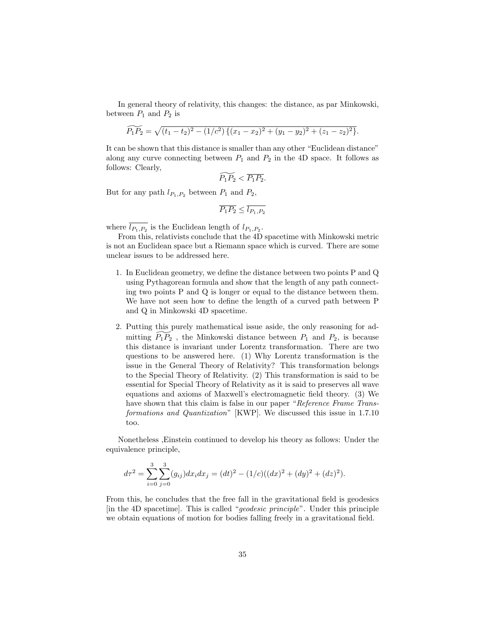In general theory of relativity, this changes: the distance, as par Minkowski, between  $P_1$  and  $P_2$  is

$$
\widetilde{P_1P_2} = \sqrt{(t_1 - t_2)^2 - (1/c^2) \{ (x_1 - x_2)^2 + (y_1 - y_2)^2 + (z_1 - z_2)^2 \}}.
$$

It can be shown that this distance is smaller than any other "Euclidean distance" along any curve connecting between  $P_1$  and  $P_2$  in the 4D space. It follows as follows: Clearly,

$$
\widetilde{P_1P_2} < \overline{P_1P_2}.
$$

But for any path  $l_{P_1,P_2}$  between  $P_1$  and  $P_2$ ,

$$
\overline{P_1P_2} \le \overline{l_{P_1,P_2}}
$$

where  $l_{P_1,P_2}$  is the Euclidean length of  $l_{P_1,P_2}$ .

From this, relativists conclude that the 4D spacetime with Minkowski metric is not an Euclidean space but a Riemann space which is curved. There are some unclear issues to be addressed here.

- 1. In Euclidean geometry, we define the distance between two points P and Q using Pythagorean formula and show that the length of any path connecting two points P and Q is longer or equal to the distance between them. We have not seen how to define the length of a curved path between P and Q in Minkowski 4D spacetime.
- 2. Putting this purely mathematical issue aside, the only reasoning for admitting  $P_1P_2$ , the Minkowski distance between  $P_1$  and  $P_2$ , is because this distance is invariant under Lorentz transformation. There are two questions to be answered here. (1) Why Lorentz transformation is the issue in the General Theory of Relativity? This transformation belongs to the Special Theory of Relativity. (2) This transformation is said to be essential for Special Theory of Relativity as it is said to preserves all wave equations and axioms of Maxwell's electromagnetic field theory. (3) We have shown that this claim is false in our paper "Reference Frame Transformations and Quantization" [KWP]. We discussed this issue in 1.7.10 too.

Nonetheless ,Einstein continued to develop his theory as follows: Under the equivalence principle,

$$
d\tau^{2} = \sum_{i=0}^{3} \sum_{j=0}^{3} (g_{ij}) dx_{i} dx_{j} = (dt)^{2} - (1/c)((dx)^{2} + (dy)^{2} + (dz)^{2}).
$$

From this, he concludes that the free fall in the gravitational field is geodesics [in the 4D spacetime]. This is called "geodesic principle". Under this principle we obtain equations of motion for bodies falling freely in a gravitational field.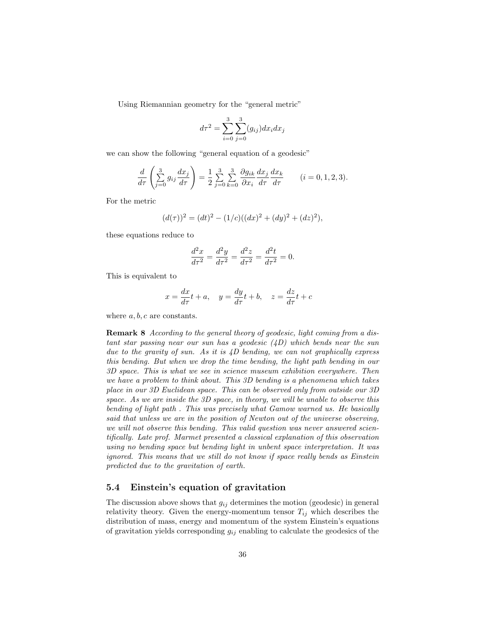Using Riemannian geometry for the "general metric"

$$
d\tau^{2} = \sum_{i=0}^{3} \sum_{j=0}^{3} (g_{ij}) dx_{i} dx_{j}
$$

we can show the following "general equation of a geodesic"

$$
\frac{d}{d\tau} \left( \sum_{j=0}^{3} g_{ij} \frac{dx_j}{d\tau} \right) = \frac{1}{2} \sum_{j=0}^{3} \sum_{k=0}^{3} \frac{\partial g_{ik}}{\partial x_i} \frac{dx_j}{d\tau} \frac{dx_k}{d\tau} \qquad (i = 0, 1, 2, 3).
$$

For the metric

$$
(d(\tau))^2 = (dt)^2 - (1/c)((dx)^2 + (dy)^2 + (dz)^2),
$$

these equations reduce to

$$
\frac{d^2x}{d\tau^2} = \frac{d^2y}{d\tau^2} = \frac{d^2z}{d\tau^2} = \frac{d^2t}{d\tau^2} = 0.
$$

This is equivalent to

$$
x = \frac{dx}{d\tau}t + a, \quad y = \frac{dy}{d\tau}t + b, \quad z = \frac{dz}{d\tau}t + c
$$

where  $a, b, c$  are constants.

Remark 8 According to the general theory of geodesic, light coming from a distant star passing near our sun has a geodesic  $(4D)$  which bends near the sun due to the gravity of sun. As it is  $\overline{4D}$  bending, we can not graphically express this bending. But when we drop the time bending, the light path bending in our 3D space. This is what we see in science museum exhibition everywhere. Then we have a problem to think about. This 3D bending is a phenomena which takes place in our 3D Euclidean space. This can be observed only from outside our 3D space. As we are inside the 3D space, in theory, we will be unable to observe this bending of light path . This was precisely what Gamow warned us. He basically said that unless we are in the position of Newton out of the universe observing, we will not observe this bending. This valid question was never answered scientifically. Late prof. Marmet presented a classical explanation of this observation using no bending space but bending light in unbent space interpretation. It was ignored. This means that we still do not know if space really bends as Einstein predicted due to the gravitation of earth.

## 5.4 Einstein's equation of gravitation

The discussion above shows that  $g_{ij}$  determines the motion (geodesic) in general relativity theory. Given the energy-momentum tensor  $T_{ij}$  which describes the distribution of mass, energy and momentum of the system Einstein's equations of gravitation yields corresponding  $g_{ij}$  enabling to calculate the geodesics of the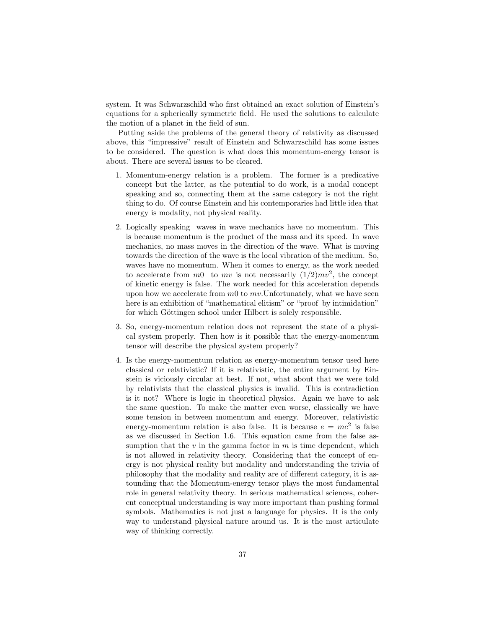system. It was Schwarzschild who first obtained an exact solution of Einstein's equations for a spherically symmetric field. He used the solutions to calculate the motion of a planet in the field of sun.

Putting aside the problems of the general theory of relativity as discussed above, this "impressive" result of Einstein and Schwarzschild has some issues to be considered. The question is what does this momentum-energy tensor is about. There are several issues to be cleared.

- 1. Momentum-energy relation is a problem. The former is a predicative concept but the latter, as the potential to do work, is a modal concept speaking and so, connecting them at the same category is not the right thing to do. Of course Einstein and his contemporaries had little idea that energy is modality, not physical reality.
- 2. Logically speaking waves in wave mechanics have no momentum. This is because momentum is the product of the mass and its speed. In wave mechanics, no mass moves in the direction of the wave. What is moving towards the direction of the wave is the local vibration of the medium. So, waves have no momentum. When it comes to energy, as the work needed to accelerate from  $m0$  to  $mv$  is not necessarily  $(1/2)mv^2$ , the concept of kinetic energy is false. The work needed for this acceleration depends upon how we accelerate from  $m0$  to  $mv$ . Unfortunately, what we have seen here is an exhibition of "mathematical elitism" or "proof by intimidation" for which Göttingen school under Hilbert is solely responsible.
- 3. So, energy-momentum relation does not represent the state of a physical system properly. Then how is it possible that the energy-momentum tensor will describe the physical system properly?
- 4. Is the energy-momentum relation as energy-momentum tensor used here classical or relativistic? If it is relativistic, the entire argument by Einstein is viciously circular at best. If not, what about that we were told by relativists that the classical physics is invalid. This is contradiction is it not? Where is logic in theoretical physics. Again we have to ask the same question. To make the matter even worse, classically we have some tension in between momentum and energy. Moreover, relativistic energy-momentum relation is also false. It is because  $e = mc^2$  is false as we discussed in Section 1.6. This equation came from the false assumption that the  $v$  in the gamma factor in  $m$  is time dependent, which is not allowed in relativity theory. Considering that the concept of energy is not physical reality but modality and understanding the trivia of philosophy that the modality and reality are of different category, it is astounding that the Momentum-energy tensor plays the most fundamental role in general relativity theory. In serious mathematical sciences, coherent conceptual understanding is way more important than pushing formal symbols. Mathematics is not just a language for physics. It is the only way to understand physical nature around us. It is the most articulate way of thinking correctly.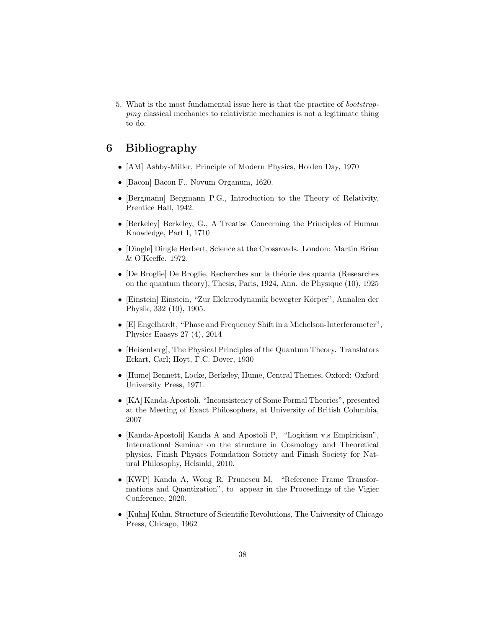5. What is the most fundamental issue here is that the practice of bootstrapping classical mechanics to relativistic mechanics is not a legitimate thing to do.

## 6 Bibliography

- [AM] Ashby-Miller, Principle of Modern Physics, Holden Day, 1970
- [Bacon] Bacon F., Novum Organum, 1620.
- [Bergmann] Bergmann P.G., Introduction to the Theory of Relativity, Prentice Hall, 1942.
- [Berkeley] Berkeley, G., A Treatise Concerning the Principles of Human Knowledge, Part I, 1710
- [Dingle] Dingle Herbert, Science at the Crossroads. London: Martin Brian & O'Keeffe. 1972.
- [De Broglie] De Broglie, Recherches sur la théorie des quanta (Researches on the quantum theory), Thesis, Paris, 1924, Ann. de Physique (10), 1925
- [Einstein] Einstein, "Zur Elektrodynamik bewegter Körper", Annalen der Physik, 332 (10), 1905.
- [E] Engelhardt, "Phase and Frequency Shift in a Michelson-Interferometer", Physics Eaasys 27 (4), 2014
- [Heisenberg], The Physical Principles of the Quantum Theory. Translators Eckart, Carl; Hoyt, F.C. Dover, 1930
- [Hume] Bennett, Locke, Berkeley, Hume, Central Themes, Oxford: Oxford University Press, 1971.
- [KA] Kanda-Apostoli, "Inconsistency of Some Formal Theories", presented at the Meeting of Exact Philosophers, at University of British Columbia, 2007
- [Kanda-Apostoli] Kanda A and Apostoli P, "Logicism v.s Empiricism", International Seminar on the structure in Cosmology and Theoretical physics, Finish Physics Foundation Society and Finish Society for Natural Philosophy, Helsinki, 2010.
- [KWP] Kanda A, Wong R, Prunescu M, "Reference Frame Transformations and Quantization", to appear in the Proceedings of the Vigier Conference, 2020.
- [Kuhn] Kuhn, Structure of Scientific Revolutions, The University of Chicago Press, Chicago, 1962